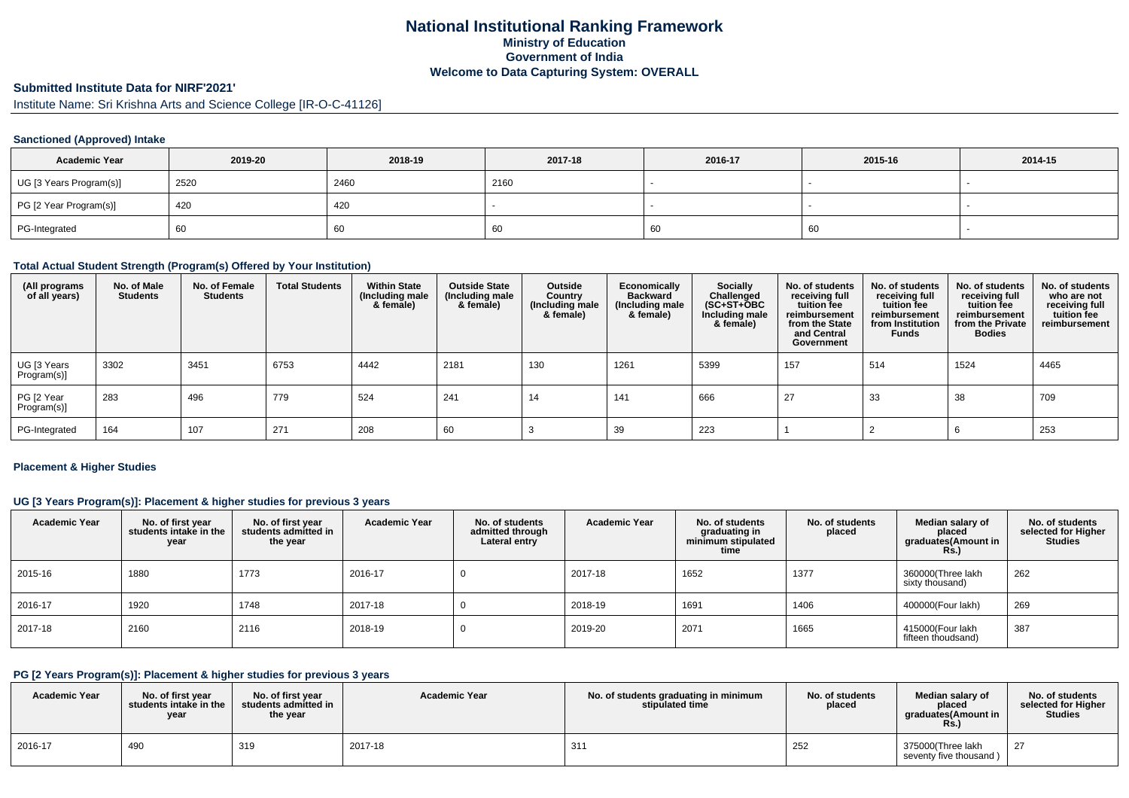# **National Institutional Ranking FrameworkMinistry of Education Government of IndiaWelcome to Data Capturing System: OVERALL**

# **Submitted Institute Data for NIRF'2021'**

Institute Name: Sri Krishna Arts and Science College [IR-O-C-41126]

### **Sanctioned (Approved) Intake**

| <b>Academic Year</b>    | 2019-20 | 2018-19 | 2017-18 | 2016-17 | 2015-16 | 2014-15 |
|-------------------------|---------|---------|---------|---------|---------|---------|
| UG [3 Years Program(s)] | 2520    | 2460    | 2160    |         |         |         |
| PG [2 Year Program(s)]  | 420     | 420     |         |         |         |         |
| PG-Integrated           | 60      | 60      | -60     | '66     | 60      |         |

### **Total Actual Student Strength (Program(s) Offered by Your Institution)**

| (All programs<br>of all years) | No. of Male<br><b>Students</b> | No. of Female<br><b>Students</b> | <b>Total Students</b> | <b>Within State</b><br>(Including male<br>& female) | <b>Outside State</b><br>(Including male<br>& female) | Outside<br>Country<br>(Including male<br>& female) | Economically<br><b>Backward</b><br>(Including male<br>& female) | <b>Socially</b><br>Challenged<br>$(SC+ST+\text{O}BC)$<br>Including male<br>& female) | No. of students<br>receiving full<br>tuition fee<br>reimbursement<br>from the State<br>and Central<br>Government | No. of students<br>receiving full<br>tuition fee<br>reimbursement<br>from Institution<br><b>Funds</b> | No. of students<br>receiving full<br>tuition fee<br>reimbursement<br>from the Private<br><b>Bodies</b> | No. of students<br>who are not<br>receiving full<br>tuition fee<br>reimbursement |
|--------------------------------|--------------------------------|----------------------------------|-----------------------|-----------------------------------------------------|------------------------------------------------------|----------------------------------------------------|-----------------------------------------------------------------|--------------------------------------------------------------------------------------|------------------------------------------------------------------------------------------------------------------|-------------------------------------------------------------------------------------------------------|--------------------------------------------------------------------------------------------------------|----------------------------------------------------------------------------------|
| UG [3 Years<br>Program(s)]     | 3302                           | 3451                             | 6753                  | 4442                                                | 2181                                                 | 130                                                | 1261                                                            | 5399                                                                                 | 157                                                                                                              | 514                                                                                                   | 1524                                                                                                   | 4465                                                                             |
| PG [2 Year<br>Program(s)]      | 283                            | 496                              | 779                   | 524                                                 | 241                                                  | 14                                                 | 141                                                             | 666                                                                                  | 27                                                                                                               | 33                                                                                                    | 38                                                                                                     | 709                                                                              |
| PG-Integrated                  | 164                            | 107                              | 271                   | 208                                                 | 60                                                   |                                                    | 39                                                              | 223                                                                                  |                                                                                                                  |                                                                                                       |                                                                                                        | 253                                                                              |

### **Placement & Higher Studies**

## **UG [3 Years Program(s)]: Placement & higher studies for previous 3 years**

| <b>Academic Year</b> | No. of first year<br>students intake in the<br>year | No. of first year<br>students admitted in<br>the year | <b>Academic Year</b> | No. of students<br>admitted through<br>Lateral entry | <b>Academic Year</b> | No. of students<br>graduating in<br>minimum stipulated<br>time | No. of students<br>placed | Median salary of<br>placed<br>graduates(Amount in<br>Rs. | No. of students<br>selected for Higher<br><b>Studies</b> |
|----------------------|-----------------------------------------------------|-------------------------------------------------------|----------------------|------------------------------------------------------|----------------------|----------------------------------------------------------------|---------------------------|----------------------------------------------------------|----------------------------------------------------------|
| 2015-16              | 1880                                                | 1773                                                  | 2016-17              |                                                      | 2017-18              | 1652                                                           | 1377                      | 360000(Three lakh<br>sixty thousand)                     | 262                                                      |
| 2016-17              | 1920                                                | 1748                                                  | 2017-18              |                                                      | 2018-19              | 1691                                                           | 1406                      | 400000(Four lakh)                                        | 269                                                      |
| 2017-18              | 2160                                                | 2116                                                  | 2018-19              |                                                      | 2019-20              | 2071                                                           | 1665                      | 415000(Four lakh<br>fifteen thoudsand)                   | 387                                                      |

## **PG [2 Years Program(s)]: Placement & higher studies for previous 3 years**

| <b>Academic Year</b> | No. of first year<br>students intake in the<br>year | No. of first year<br>students admitted in<br>the year | <b>Academic Year</b> | No. of students graduating in minimum<br>stipulated time | No. of students<br>placed | Median salary of<br>placed<br>araduates(Amount in<br>Rs. | No. of students<br>selected for Higher<br><b>Studies</b> |
|----------------------|-----------------------------------------------------|-------------------------------------------------------|----------------------|----------------------------------------------------------|---------------------------|----------------------------------------------------------|----------------------------------------------------------|
| 2016-17              | 490                                                 | 319                                                   | 2017-18              | 31'                                                      | 252                       | 375000(Three lakh<br>seventy five thousand)              | 27                                                       |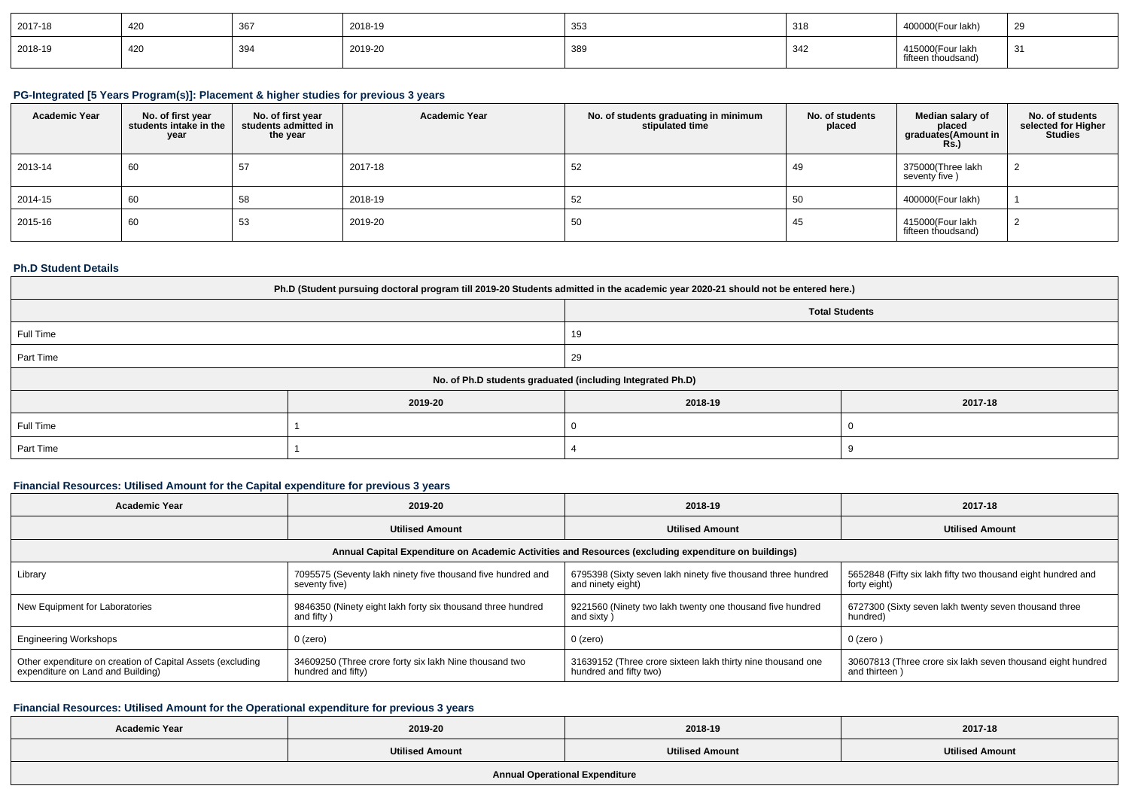| 2017-18 | 420 | $\sim$ $\sim$ $\sim$ | 2018-19 | 353 | 318 | 400000(Four lakh)                       | 29 |
|---------|-----|----------------------|---------|-----|-----|-----------------------------------------|----|
| 2018-19 | 420 | 394                  | 2019-20 | 389 | 342 | 415000 (Four lakh<br>fifteen thoudsand) | 31 |

### **PG-Integrated [5 Years Program(s)]: Placement & higher studies for previous 3 years**

| <b>Academic Year</b> | No. of first year<br>students intake in the<br>year | No. of first vear<br>students admitted in<br>the year | <b>Academic Year</b> | No. of students graduating in minimum<br>stipulated time | No. of students<br>placed | Median salary of<br>placed<br>graduates(Amount in<br><b>Rs.)</b> | No. of students<br>selected for Higher<br><b>Studies</b> |
|----------------------|-----------------------------------------------------|-------------------------------------------------------|----------------------|----------------------------------------------------------|---------------------------|------------------------------------------------------------------|----------------------------------------------------------|
| 2013-14              | 60                                                  | 57                                                    | 2017-18              | 52                                                       | 49                        | 375000(Three lakh<br>seventy five)                               |                                                          |
| 2014-15              | 60                                                  | 58                                                    | 2018-19              | 52                                                       | 50                        | 400000(Four lakh)                                                |                                                          |
| 2015-16              | 60                                                  | 53                                                    | 2019-20              | 50                                                       | 45                        | 415000(Four lakh<br>fifteen thoudsand)                           |                                                          |

#### **Ph.D Student Details**

| Ph.D (Student pursuing doctoral program till 2019-20 Students admitted in the academic year 2020-21 should not be entered here.) |                                                            |         |         |  |  |  |
|----------------------------------------------------------------------------------------------------------------------------------|------------------------------------------------------------|---------|---------|--|--|--|
|                                                                                                                                  | <b>Total Students</b>                                      |         |         |  |  |  |
| Full Time                                                                                                                        |                                                            | 19      |         |  |  |  |
| Part Time                                                                                                                        |                                                            | 29      |         |  |  |  |
|                                                                                                                                  | No. of Ph.D students graduated (including Integrated Ph.D) |         |         |  |  |  |
|                                                                                                                                  | 2019-20                                                    | 2018-19 | 2017-18 |  |  |  |
| Full Time                                                                                                                        |                                                            |         |         |  |  |  |
| Part Time                                                                                                                        |                                                            |         |         |  |  |  |

## **Financial Resources: Utilised Amount for the Capital expenditure for previous 3 years**

| <b>Academic Year</b>                                                                            | 2019-20                                                                      | 2018-19                                                                                              | 2017-18                                                                      |
|-------------------------------------------------------------------------------------------------|------------------------------------------------------------------------------|------------------------------------------------------------------------------------------------------|------------------------------------------------------------------------------|
|                                                                                                 | <b>Utilised Amount</b>                                                       | <b>Utilised Amount</b>                                                                               | <b>Utilised Amount</b>                                                       |
|                                                                                                 |                                                                              | Annual Capital Expenditure on Academic Activities and Resources (excluding expenditure on buildings) |                                                                              |
| Library                                                                                         | 7095575 (Seventy lakh ninety five thousand five hundred and<br>seventy five) | 6795398 (Sixty seven lakh ninety five thousand three hundred<br>and ninety eight)                    | 5652848 (Fifty six lakh fifty two thousand eight hundred and<br>forty eight) |
| New Equipment for Laboratories                                                                  | 9846350 (Ninety eight lakh forty six thousand three hundred<br>and fifty)    | 9221560 (Ninety two lakh twenty one thousand five hundred<br>and sixty)                              | 6727300 (Sixty seven lakh twenty seven thousand three<br>hundred)            |
| <b>Engineering Workshops</b>                                                                    | $0$ (zero)                                                                   | $0$ (zero)                                                                                           | $0$ (zero)                                                                   |
| Other expenditure on creation of Capital Assets (excluding<br>expenditure on Land and Building) | 34609250 (Three crore forty six lakh Nine thousand two<br>hundred and fifty) | 31639152 (Three crore sixteen lakh thirty nine thousand one<br>hundred and fifty two)                | 30607813 (Three crore six lakh seven thousand eight hundred<br>and thirteen) |

## **Financial Resources: Utilised Amount for the Operational expenditure for previous 3 years**

| <b>Academic Year</b>                  | 2019-20                | 2018-19                | 2017-18                |  |  |  |
|---------------------------------------|------------------------|------------------------|------------------------|--|--|--|
|                                       | <b>Utilised Amount</b> | <b>Utilised Amount</b> | <b>Utilised Amount</b> |  |  |  |
| <b>Annual Operational Expenditure</b> |                        |                        |                        |  |  |  |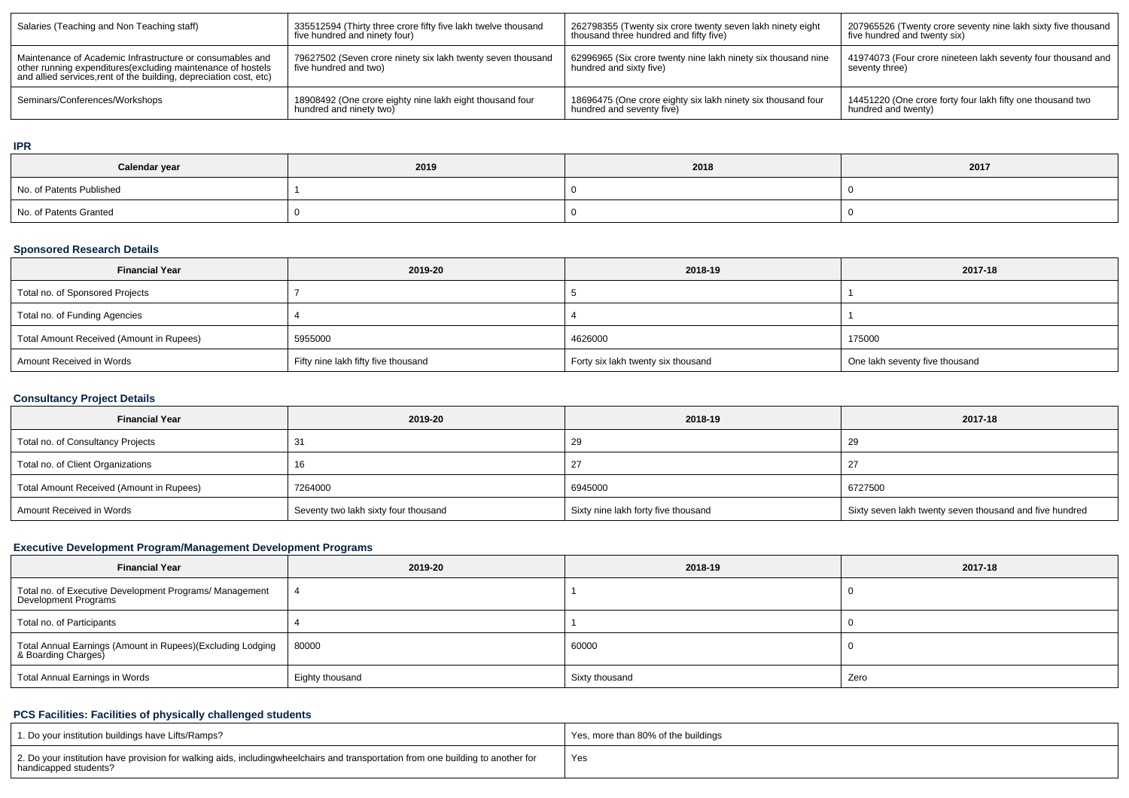| Salaries (Teaching and Non Teaching staff)                                                                                                                                                      | 335512594 (Thirty three crore fifty five lakh twelve thousand                        | 262798355 (Twenty six crore twenty seven lakh ninety eight                               | 207965526 (Twenty crore seventy nine lakh sixty five thousand                  |
|-------------------------------------------------------------------------------------------------------------------------------------------------------------------------------------------------|--------------------------------------------------------------------------------------|------------------------------------------------------------------------------------------|--------------------------------------------------------------------------------|
|                                                                                                                                                                                                 | five hundred and ninety four)                                                        | thousand three hundred and fifty five)                                                   | five hundred and twenty six)                                                   |
| Maintenance of Academic Infrastructure or consumables and<br>other running expenditures (excluding maintenance of hostels<br>and allied services, rent of the building, depreciation cost, etc) | 79627502 (Seven crore ninety six lakh twenty seven thousand<br>five hundred and two) | 62996965 (Six crore twenty nine lakh ninety six thousand nine<br>hundred and sixty five) | 41974073 (Four crore nineteen lakh seventy four thousand and<br>seventy three) |
| Seminars/Conferences/Workshops                                                                                                                                                                  | 18908492 (One crore eighty nine lakh eight thousand four                             | 18696475 (One crore eighty six lakh ninety six thousand four                             | 14451220 (One crore forty four lakh fifty one thousand two                     |
|                                                                                                                                                                                                 | hundred and ninety two)                                                              | hundred and seventy five)                                                                | hundred and twenty)                                                            |

#### **IPR**

| Calendar year            | 2019 | 2018 | 2017 |
|--------------------------|------|------|------|
| No. of Patents Published |      |      |      |
| No. of Patents Granted   |      |      |      |

# **Sponsored Research Details**

| <b>Financial Year</b>                    | 2019-20                             | 2018-19                            | 2017-18                        |
|------------------------------------------|-------------------------------------|------------------------------------|--------------------------------|
| Total no. of Sponsored Projects          |                                     |                                    |                                |
| Total no. of Funding Agencies            |                                     |                                    |                                |
| Total Amount Received (Amount in Rupees) | 5955000                             | 4626000                            | 175000                         |
| Amount Received in Words                 | Fifty nine lakh fifty five thousand | Forty six lakh twenty six thousand | One lakh seventy five thousand |

# **Consultancy Project Details**

| <b>Financial Year</b>                    | 2019-20                              | 2018-19                             | 2017-18                                                 |  |  |
|------------------------------------------|--------------------------------------|-------------------------------------|---------------------------------------------------------|--|--|
| Total no. of Consultancy Projects        | -31                                  | ∠⊌                                  | 29                                                      |  |  |
| Total no. of Client Organizations        | 16                                   |                                     | 27                                                      |  |  |
| Total Amount Received (Amount in Rupees) | 7264000                              | 6945000                             | 6727500                                                 |  |  |
| Amount Received in Words                 | Seventy two lakh sixty four thousand | Sixty nine lakh forty five thousand | Sixty seven lakh twenty seven thousand and five hundred |  |  |

# **Executive Development Program/Management Development Programs**

| <b>Financial Year</b>                                                            | 2019-20         | 2018-19        | 2017-18 |  |  |
|----------------------------------------------------------------------------------|-----------------|----------------|---------|--|--|
| Total no. of Executive Development Programs/ Management<br>Development Programs  |                 |                |         |  |  |
| Total no. of Participants                                                        |                 |                |         |  |  |
| Total Annual Earnings (Amount in Rupees)(Excluding Lodging<br>& Boarding Charges | 80000           | 60000          |         |  |  |
| Total Annual Earnings in Words                                                   | Eighty thousand | Sixty thousand | Zero    |  |  |

# **PCS Facilities: Facilities of physically challenged students**

| 1. Do your institution buildings have Lifts/Ramps?                                                                                                        | Yes, more than 80% of the buildings |
|-----------------------------------------------------------------------------------------------------------------------------------------------------------|-------------------------------------|
| 2. Do your institution have provision for walking aids, includingwheelchairs and transportation from one building to another for<br>handicapped students? | 'Yes                                |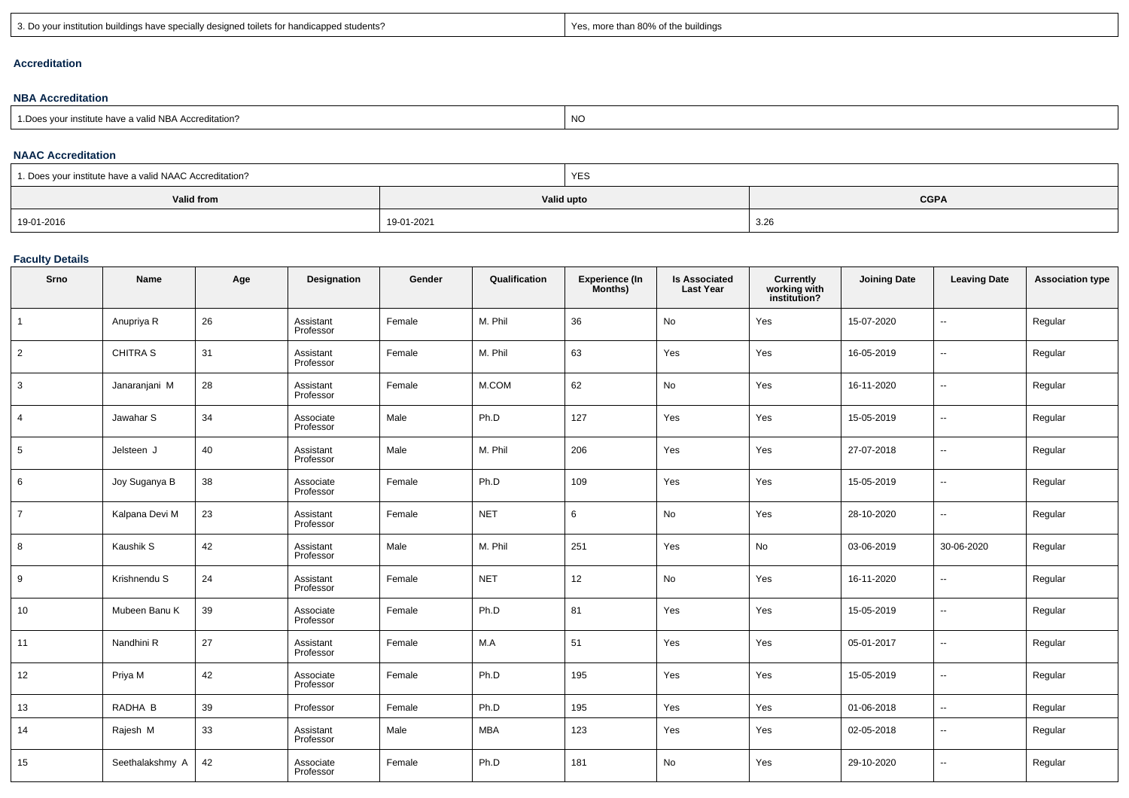| $\sim$<br>ned toilets for handicapped s<br>students'<br>$\mathbf{r}$<br>on buik<br>oldried tollets for <b>P</b><br>us nave | ۷a<br>$\sim$<br>- fhan 80 |
|----------------------------------------------------------------------------------------------------------------------------|---------------------------|
|                                                                                                                            |                           |

## **Accreditation**

#### **NBA Accreditation**

| 1 NBA Accr<br>1. Does vour institute have a valid<br>.ccreditation? | יע |
|---------------------------------------------------------------------|----|
|---------------------------------------------------------------------|----|

#### **NAAC Accreditation**

| 1. Does your institute have a valid NAAC Accreditation? |            | <b>YES</b>                |      |  |  |  |
|---------------------------------------------------------|------------|---------------------------|------|--|--|--|
| <b>Valid from</b>                                       |            | <b>CGPA</b><br>Valid upto |      |  |  |  |
| 19-01-2016                                              | 19-01-2021 |                           | 3.26 |  |  |  |

# **Faculty Details**

| Srno            | Name            | Age | Designation            | Gender | Qualification | Experience (In<br>Months) | Is Associated<br>Last Year | <b>Currently</b><br>working with<br>institution? | <b>Joining Date</b> | <b>Leaving Date</b>      | <b>Association type</b> |
|-----------------|-----------------|-----|------------------------|--------|---------------|---------------------------|----------------------------|--------------------------------------------------|---------------------|--------------------------|-------------------------|
| $\overline{1}$  | Anupriya R      | 26  | Assistant<br>Professor | Female | M. Phil       | 36                        | No                         | Yes                                              | 15-07-2020          | --                       | Regular                 |
| $\overline{2}$  | <b>CHITRA S</b> | 31  | Assistant<br>Professor | Female | M. Phil       | 63                        | Yes                        | Yes                                              | 16-05-2019          | $\overline{\phantom{a}}$ | Regular                 |
| $\mathbf{3}$    | Janaranjani M   | 28  | Assistant<br>Professor | Female | M.COM         | 62                        | No                         | Yes                                              | 16-11-2020          | Ξ.                       | Regular                 |
| $\overline{4}$  | Jawahar S       | 34  | Associate<br>Professor | Male   | Ph.D          | 127                       | Yes                        | Yes                                              | 15-05-2019          | Ξ.                       | Regular                 |
| $5\phantom{.0}$ | Jelsteen J      | 40  | Assistant<br>Professor | Male   | M. Phil       | 206                       | Yes                        | Yes                                              | 27-07-2018          | --                       | Regular                 |
| 6               | Joy Suganya B   | 38  | Associate<br>Professor | Female | Ph.D          | 109                       | Yes                        | Yes                                              | 15-05-2019          | Ξ.                       | Regular                 |
| $\overline{7}$  | Kalpana Devi M  | 23  | Assistant<br>Professor | Female | <b>NET</b>    | 6                         | No                         | Yes                                              | 28-10-2020          | Ξ.                       | Regular                 |
| 8               | Kaushik S       | 42  | Assistant<br>Professor | Male   | M. Phil       | 251                       | Yes                        | No                                               | 03-06-2019          | 30-06-2020               | Regular                 |
| 9               | Krishnendu S    | 24  | Assistant<br>Professor | Female | <b>NET</b>    | 12                        | No                         | Yes                                              | 16-11-2020          | --                       | Regular                 |
| 10              | Mubeen Banu K   | 39  | Associate<br>Professor | Female | Ph.D          | 81                        | Yes                        | Yes                                              | 15-05-2019          | Ξ.                       | Regular                 |
| 11              | Nandhini R      | 27  | Assistant<br>Professor | Female | M.A           | 51                        | Yes                        | Yes                                              | 05-01-2017          | --                       | Regular                 |
| 12              | Priya M         | 42  | Associate<br>Professor | Female | Ph.D          | 195                       | Yes                        | Yes                                              | 15-05-2019          | Ξ.                       | Regular                 |
| 13              | RADHA B         | 39  | Professor              | Female | Ph.D          | 195                       | Yes                        | Yes                                              | 01-06-2018          | Ξ.                       | Regular                 |
| 14              | Rajesh M        | 33  | Assistant<br>Professor | Male   | <b>MBA</b>    | 123                       | Yes                        | Yes                                              | 02-05-2018          | --                       | Regular                 |
| 15              | Seethalakshmy A | 42  | Associate<br>Professor | Female | Ph.D          | 181                       | No                         | Yes                                              | 29-10-2020          | --                       | Regular                 |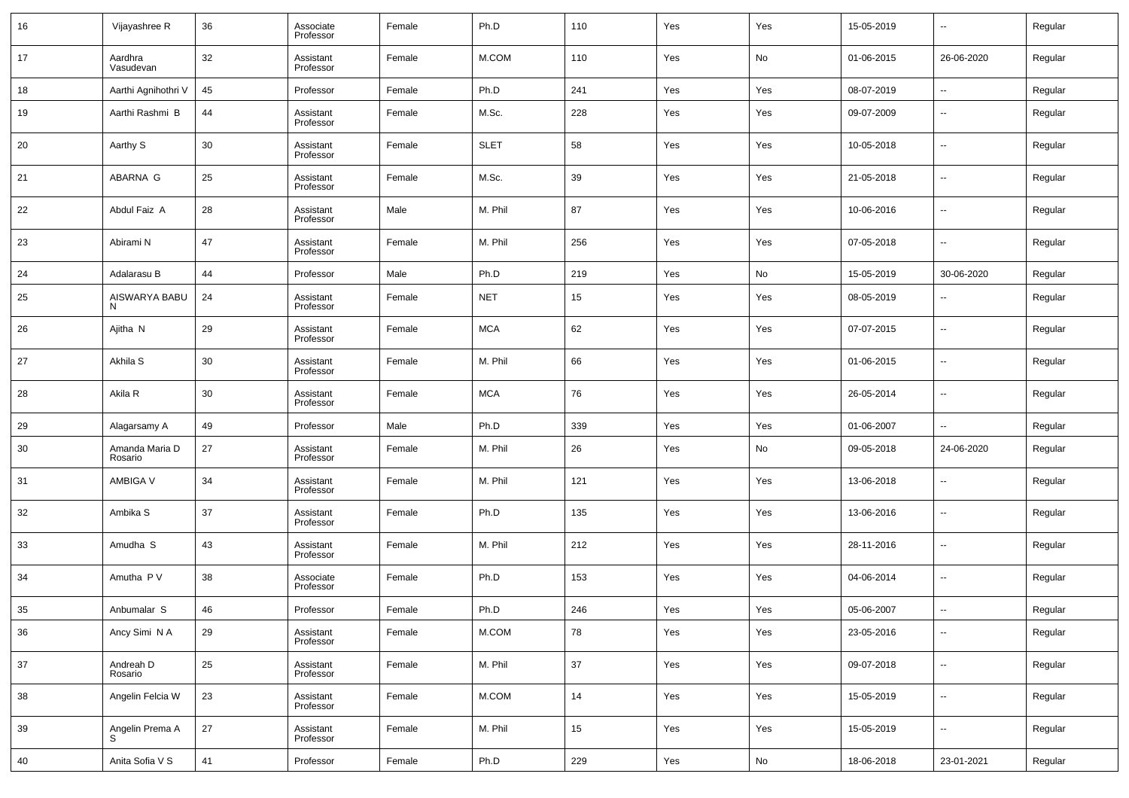| 16 | Vijayashree R             | 36 | Associate<br>Professor | Female | Ph.D        | 110    | Yes | Yes | 15-05-2019 | $\overline{\phantom{a}}$ | Regular |
|----|---------------------------|----|------------------------|--------|-------------|--------|-----|-----|------------|--------------------------|---------|
| 17 | Aardhra<br>Vasudevan      | 32 | Assistant<br>Professor | Female | M.COM       | 110    | Yes | No  | 01-06-2015 | 26-06-2020               | Regular |
| 18 | Aarthi Agnihothri V       | 45 | Professor              | Female | Ph.D        | 241    | Yes | Yes | 08-07-2019 | $\sim$                   | Regular |
| 19 | Aarthi Rashmi B           | 44 | Assistant<br>Professor | Female | M.Sc.       | 228    | Yes | Yes | 09-07-2009 | $\overline{\phantom{a}}$ | Regular |
| 20 | Aarthy S                  | 30 | Assistant<br>Professor | Female | <b>SLET</b> | 58     | Yes | Yes | 10-05-2018 | $\overline{\phantom{a}}$ | Regular |
| 21 | ABARNA G                  | 25 | Assistant<br>Professor | Female | M.Sc.       | 39     | Yes | Yes | 21-05-2018 | $\overline{\phantom{a}}$ | Regular |
| 22 | Abdul Faiz A              | 28 | Assistant<br>Professor | Male   | M. Phil     | 87     | Yes | Yes | 10-06-2016 | $\overline{\phantom{a}}$ | Regular |
| 23 | Abirami N                 | 47 | Assistant<br>Professor | Female | M. Phil     | 256    | Yes | Yes | 07-05-2018 | $\overline{\phantom{a}}$ | Regular |
| 24 | Adalarasu B               | 44 | Professor              | Male   | Ph.D        | 219    | Yes | No  | 15-05-2019 | 30-06-2020               | Regular |
| 25 | AISWARYA BABU<br>N        | 24 | Assistant<br>Professor | Female | <b>NET</b>  | 15     | Yes | Yes | 08-05-2019 | $\overline{\phantom{a}}$ | Regular |
| 26 | Ajitha N                  | 29 | Assistant<br>Professor | Female | <b>MCA</b>  | 62     | Yes | Yes | 07-07-2015 | $\overline{\phantom{a}}$ | Regular |
| 27 | Akhila S                  | 30 | Assistant<br>Professor | Female | M. Phil     | 66     | Yes | Yes | 01-06-2015 | $\overline{\phantom{a}}$ | Regular |
| 28 | Akila R                   | 30 | Assistant<br>Professor | Female | <b>MCA</b>  | 76     | Yes | Yes | 26-05-2014 | $\overline{\phantom{a}}$ | Regular |
| 29 | Alagarsamy A              | 49 | Professor              | Male   | Ph.D        | 339    | Yes | Yes | 01-06-2007 | $\overline{\phantom{a}}$ | Regular |
| 30 | Amanda Maria D<br>Rosario | 27 | Assistant<br>Professor | Female | M. Phil     | 26     | Yes | No  | 09-05-2018 | 24-06-2020               | Regular |
| 31 | <b>AMBIGA V</b>           | 34 | Assistant<br>Professor | Female | M. Phil     | 121    | Yes | Yes | 13-06-2018 | $\sim$                   | Regular |
| 32 | Ambika S                  | 37 | Assistant<br>Professor | Female | Ph.D        | 135    | Yes | Yes | 13-06-2016 | $\overline{\phantom{a}}$ | Regular |
| 33 | Amudha <sub>S</sub>       | 43 | Assistant<br>Professor | Female | M. Phil     | 212    | Yes | Yes | 28-11-2016 | $\overline{\phantom{a}}$ | Regular |
| 34 | Amutha P V                | 38 | Associate<br>Professor | Female | Ph.D        | 153    | Yes | Yes | 04-06-2014 | $\overline{\phantom{a}}$ | Regular |
| 35 | Anbumalar S               | 46 | Professor              | Female | Ph.D        | 246    | Yes | Yes | 05-06-2007 | $\sim$                   | Regular |
| 36 | Ancy Simi N A             | 29 | Assistant<br>Professor | Female | M.COM       | 78     | Yes | Yes | 23-05-2016 | $\overline{\phantom{a}}$ | Regular |
| 37 | Andreah D<br>Rosario      | 25 | Assistant<br>Professor | Female | M. Phil     | $37\,$ | Yes | Yes | 09-07-2018 | $\overline{\phantom{a}}$ | Regular |
| 38 | Angelin Felcia W          | 23 | Assistant<br>Professor | Female | M.COM       | 14     | Yes | Yes | 15-05-2019 | $\overline{\phantom{a}}$ | Regular |
| 39 | Angelin Prema A<br>S      | 27 | Assistant<br>Professor | Female | M. Phil     | 15     | Yes | Yes | 15-05-2019 | $\overline{\phantom{a}}$ | Regular |
| 40 | Anita Sofia V S           | 41 | Professor              | Female | Ph.D        | 229    | Yes | No  | 18-06-2018 | 23-01-2021               | Regular |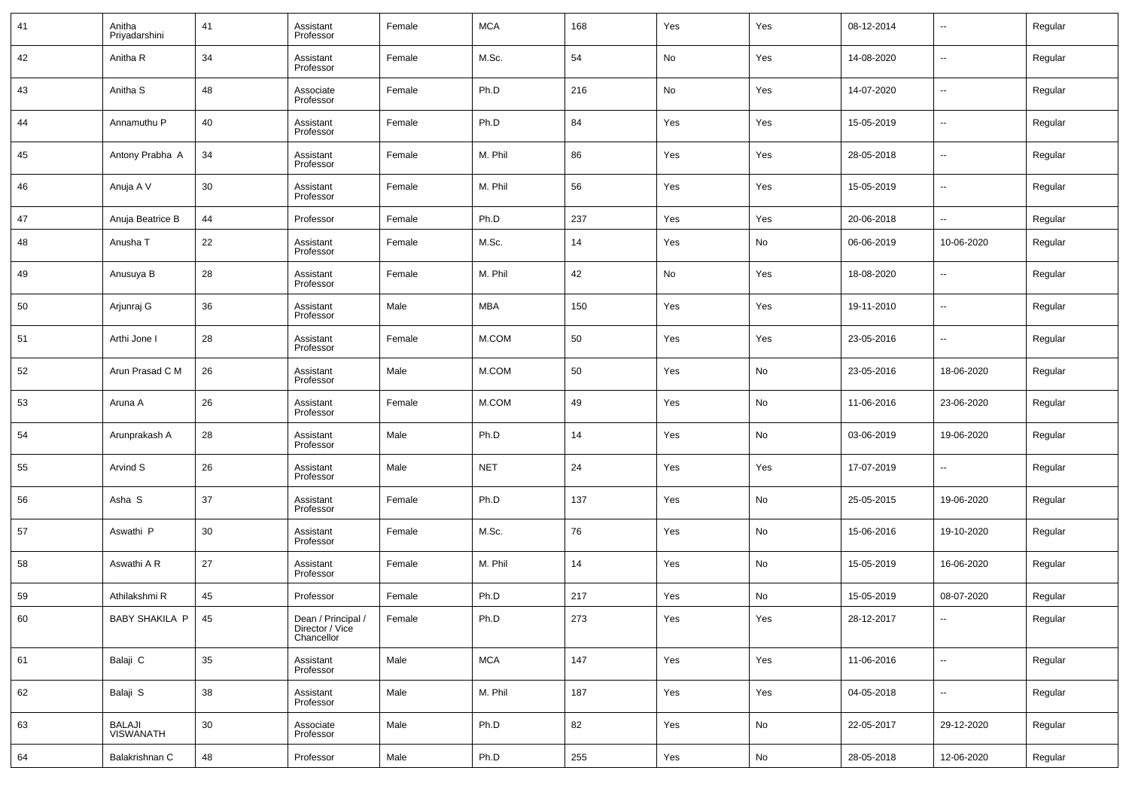| 41 | Anitha<br>Priyadarshini           | 41 | Assistant<br>Professor                              | Female | <b>MCA</b> | 168 | Yes | Yes | 08-12-2014 | $\sim$                   | Regular |
|----|-----------------------------------|----|-----------------------------------------------------|--------|------------|-----|-----|-----|------------|--------------------------|---------|
| 42 | Anitha R                          | 34 | Assistant<br>Professor                              | Female | M.Sc.      | 54  | No  | Yes | 14-08-2020 | $\sim$                   | Regular |
| 43 | Anitha <sub>S</sub>               | 48 | Associate<br>Professor                              | Female | Ph.D       | 216 | No  | Yes | 14-07-2020 | $\sim$                   | Regular |
| 44 | Annamuthu P                       | 40 | Assistant<br>Professor                              | Female | Ph.D       | 84  | Yes | Yes | 15-05-2019 | $\sim$                   | Regular |
| 45 | Antony Prabha A                   | 34 | Assistant<br>Professor                              | Female | M. Phil    | 86  | Yes | Yes | 28-05-2018 | $\sim$                   | Regular |
| 46 | Anuja A V                         | 30 | Assistant<br>Professor                              | Female | M. Phil    | 56  | Yes | Yes | 15-05-2019 | $\sim$                   | Regular |
| 47 | Anuja Beatrice B                  | 44 | Professor                                           | Female | Ph.D       | 237 | Yes | Yes | 20-06-2018 | ц,                       | Regular |
| 48 | Anusha T                          | 22 | Assistant<br>Professor                              | Female | M.Sc.      | 14  | Yes | No  | 06-06-2019 | 10-06-2020               | Regular |
| 49 | Anusuya B                         | 28 | Assistant<br>Professor                              | Female | M. Phil    | 42  | No  | Yes | 18-08-2020 | $\overline{\phantom{a}}$ | Regular |
| 50 | Arjunraj G                        | 36 | Assistant<br>Professor                              | Male   | <b>MBA</b> | 150 | Yes | Yes | 19-11-2010 | $\sim$                   | Regular |
| 51 | Arthi Jone I                      | 28 | Assistant<br>Professor                              | Female | M.COM      | 50  | Yes | Yes | 23-05-2016 | $\sim$                   | Regular |
| 52 | Arun Prasad C M                   | 26 | Assistant<br>Professor                              | Male   | M.COM      | 50  | Yes | No  | 23-05-2016 | 18-06-2020               | Regular |
| 53 | Aruna A                           | 26 | Assistant<br>Professor                              | Female | M.COM      | 49  | Yes | No  | 11-06-2016 | 23-06-2020               | Regular |
| 54 | Arunprakash A                     | 28 | Assistant<br>Professor                              | Male   | Ph.D       | 14  | Yes | No  | 03-06-2019 | 19-06-2020               | Regular |
| 55 | Arvind S                          | 26 | Assistant<br>Professor                              | Male   | <b>NET</b> | 24  | Yes | Yes | 17-07-2019 | $\overline{\phantom{a}}$ | Regular |
| 56 | Asha S                            | 37 | Assistant<br>Professor                              | Female | Ph.D       | 137 | Yes | No  | 25-05-2015 | 19-06-2020               | Regular |
| 57 | Aswathi P                         | 30 | Assistant<br>Professor                              | Female | M.Sc.      | 76  | Yes | No  | 15-06-2016 | 19-10-2020               | Regular |
| 58 | Aswathi A R                       | 27 | Assistant<br>Professor                              | Female | M. Phil    | 14  | Yes | No  | 15-05-2019 | 16-06-2020               | Regular |
| 59 | Athilakshmi R                     | 45 | Professor                                           | Female | Ph.D       | 217 | Yes | No  | 15-05-2019 | 08-07-2020               | Regular |
| 60 | BABY SHAKILA P   45               |    | Dean / Principal /<br>Director / Vice<br>Chancellor | Female | Ph.D       | 273 | Yes | Yes | 28-12-2017 | $\overline{\phantom{a}}$ | Regular |
| 61 | Balaji C                          | 35 | Assistant<br>Professor                              | Male   | <b>MCA</b> | 147 | Yes | Yes | 11-06-2016 | $\sim$                   | Regular |
| 62 | Balaji S                          | 38 | Assistant<br>Professor                              | Male   | M. Phil    | 187 | Yes | Yes | 04-05-2018 | $\sim$                   | Regular |
| 63 | <b>BALAJI</b><br><b>VISWANATH</b> | 30 | Associate<br>Professor                              | Male   | Ph.D       | 82  | Yes | No  | 22-05-2017 | 29-12-2020               | Regular |
| 64 | Balakrishnan C                    | 48 | Professor                                           | Male   | Ph.D       | 255 | Yes | No  | 28-05-2018 | 12-06-2020               | Regular |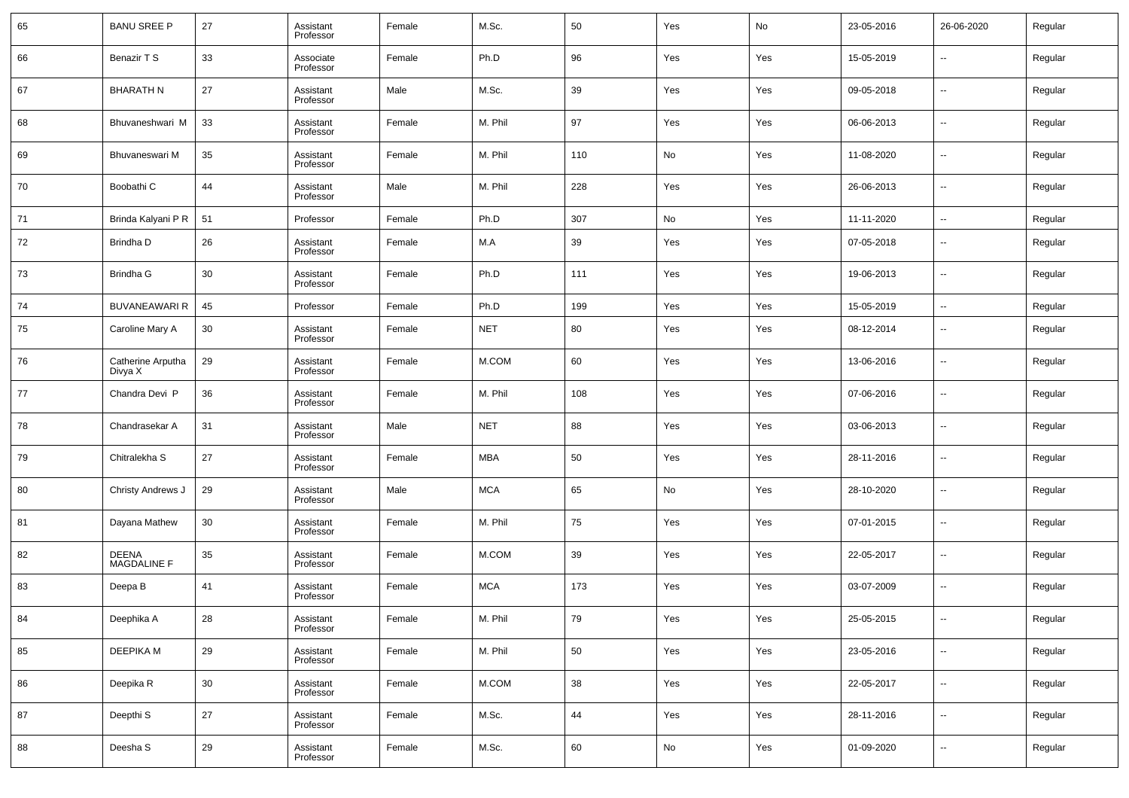| 65 | <b>BANU SREE P</b>           | 27 | Assistant<br>Professor | Female | M.Sc.      | 50     | Yes                          | No  | 23-05-2016 | 26-06-2020               | Regular |
|----|------------------------------|----|------------------------|--------|------------|--------|------------------------------|-----|------------|--------------------------|---------|
| 66 | Benazir T S                  | 33 | Associate<br>Professor | Female | Ph.D       | 96     | Yes                          | Yes | 15-05-2019 | $\overline{\phantom{a}}$ | Regular |
| 67 | <b>BHARATH N</b>             | 27 | Assistant<br>Professor | Male   | M.Sc.      | 39     | Yes                          | Yes | 09-05-2018 | $\overline{\phantom{a}}$ | Regular |
| 68 | Bhuvaneshwari M              | 33 | Assistant<br>Professor | Female | M. Phil    | 97     | Yes                          | Yes | 06-06-2013 | $\overline{\phantom{a}}$ | Regular |
| 69 | Bhuvaneswari M               | 35 | Assistant<br>Professor | Female | M. Phil    | 110    | No                           | Yes | 11-08-2020 | $\overline{\phantom{a}}$ | Regular |
| 70 | Boobathi C                   | 44 | Assistant<br>Professor | Male   | M. Phil    | 228    | Yes                          | Yes | 26-06-2013 | $\overline{\phantom{a}}$ | Regular |
| 71 | Brinda Kalyani P R           | 51 | Professor              | Female | Ph.D       | 307    | No                           | Yes | 11-11-2020 | $\overline{\phantom{a}}$ | Regular |
| 72 | Brindha D                    | 26 | Assistant<br>Professor | Female | M.A        | 39     | Yes                          | Yes | 07-05-2018 | $\overline{\phantom{a}}$ | Regular |
| 73 | Brindha G                    | 30 | Assistant<br>Professor | Female | Ph.D       | 111    | Yes                          | Yes | 19-06-2013 | $\overline{\phantom{a}}$ | Regular |
| 74 | <b>BUVANEAWARI R</b>         | 45 | Professor              | Female | Ph.D       | 199    | Yes                          | Yes | 15-05-2019 | $\overline{\phantom{a}}$ | Regular |
| 75 | Caroline Mary A              | 30 | Assistant<br>Professor | Female | <b>NET</b> | 80     | Yes                          | Yes | 08-12-2014 | $\overline{\phantom{a}}$ | Regular |
| 76 | Catherine Arputha<br>Divya X | 29 | Assistant<br>Professor | Female | M.COM      | 60     | Yes                          | Yes | 13-06-2016 | $\overline{\phantom{a}}$ | Regular |
| 77 | Chandra Devi P               | 36 | Assistant<br>Professor | Female | M. Phil    | 108    | Yes                          | Yes | 07-06-2016 | $\overline{\phantom{a}}$ | Regular |
| 78 | Chandrasekar A               | 31 | Assistant<br>Professor | Male   | <b>NET</b> | 88     | Yes                          | Yes | 03-06-2013 | $\overline{\phantom{a}}$ | Regular |
| 79 | Chitralekha S                | 27 | Assistant<br>Professor | Female | <b>MBA</b> | 50     | Yes                          | Yes | 28-11-2016 | $\overline{\phantom{a}}$ | Regular |
| 80 | <b>Christy Andrews J</b>     | 29 | Assistant<br>Professor | Male   | <b>MCA</b> | 65     | No                           | Yes | 28-10-2020 | $\overline{\phantom{a}}$ | Regular |
| 81 | Dayana Mathew                | 30 | Assistant<br>Professor | Female | M. Phil    | 75     | Yes                          | Yes | 07-01-2015 | $\overline{\phantom{a}}$ | Regular |
| 82 | <b>DEENA</b><br>MAGDALINE F  | 35 | Assistant<br>Professor | Female | M.COM      | 39     | Yes                          | Yes | 22-05-2017 | $\overline{\phantom{a}}$ | Regular |
| 83 | Deepa B                      | 41 | Assistant<br>Professor | Female | <b>MCA</b> | 173    | Yes                          | Yes | 03-07-2009 | $\overline{\phantom{a}}$ | Regular |
| 84 | Deephika A                   | 28 | Assistant<br>Professor | Female | M. Phil    | 79     | Yes                          | Yes | 25-05-2015 | $\overline{\phantom{a}}$ | Regular |
| 85 | DEEPIKA M                    | 29 | Assistant<br>Professor | Female | M. Phil    | $50\,$ | Yes                          | Yes | 23-05-2016 | $\overline{\phantom{a}}$ | Regular |
| 86 | Deepika R                    | 30 | Assistant<br>Professor | Female | M.COM      | 38     | Yes                          | Yes | 22-05-2017 | $\sim$                   | Regular |
| 87 | Deepthi S                    | 27 | Assistant<br>Professor | Female | M.Sc.      | 44     | Yes                          | Yes | 28-11-2016 | $\overline{\phantom{a}}$ | Regular |
| 88 | Deesha S                     | 29 | Assistant<br>Professor | Female | M.Sc.      | 60     | $\operatorname{\mathsf{No}}$ | Yes | 01-09-2020 | $\overline{\phantom{a}}$ | Regular |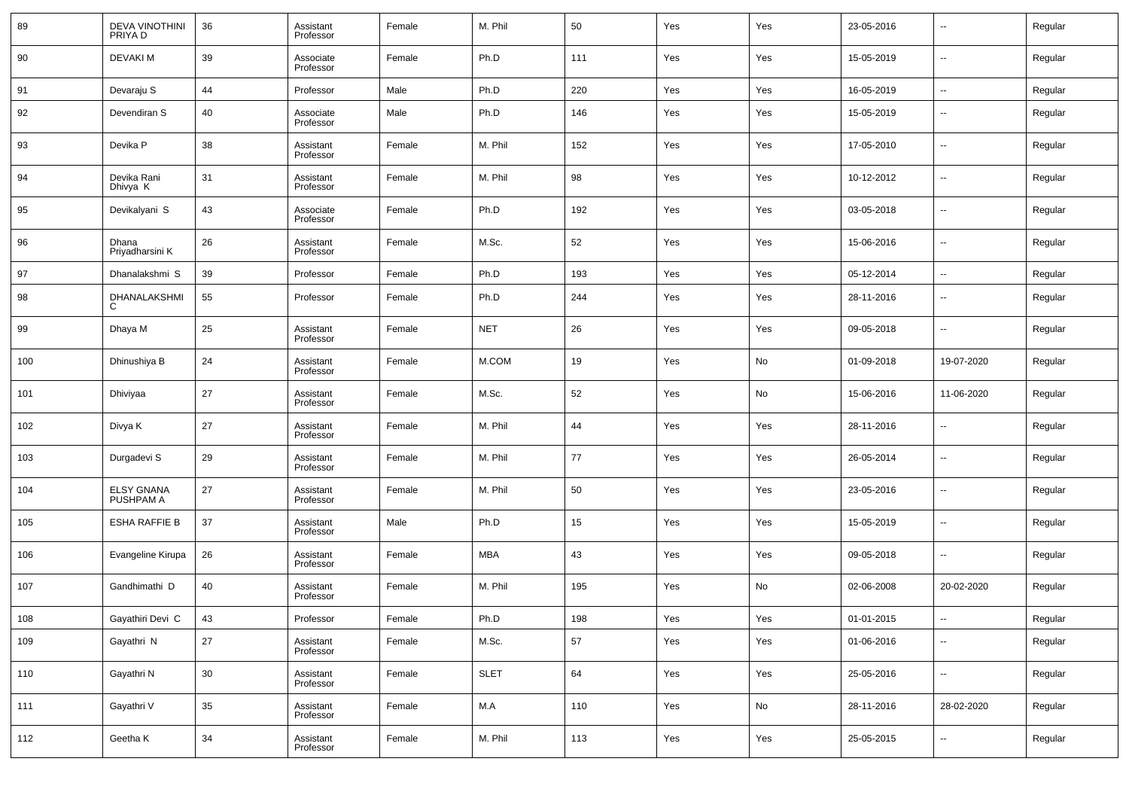| 89  | DEVA VINOTHINI<br>PRIYA D      | 36 | Assistant<br>Professor | Female | M. Phil     | 50  | Yes | Yes | 23-05-2016 | $\overline{\phantom{a}}$ | Regular |
|-----|--------------------------------|----|------------------------|--------|-------------|-----|-----|-----|------------|--------------------------|---------|
| 90  | <b>DEVAKIM</b>                 | 39 | Associate<br>Professor | Female | Ph.D        | 111 | Yes | Yes | 15-05-2019 | $\overline{\phantom{a}}$ | Regular |
| 91  | Devaraju S                     | 44 | Professor              | Male   | Ph.D        | 220 | Yes | Yes | 16-05-2019 | $\overline{\phantom{a}}$ | Regular |
| 92  | Devendiran S                   | 40 | Associate<br>Professor | Male   | Ph.D        | 146 | Yes | Yes | 15-05-2019 | $\overline{\phantom{a}}$ | Regular |
| 93  | Devika P                       | 38 | Assistant<br>Professor | Female | M. Phil     | 152 | Yes | Yes | 17-05-2010 | $\overline{\phantom{a}}$ | Regular |
| 94  | Devika Rani<br>Dhivya K        | 31 | Assistant<br>Professor | Female | M. Phil     | 98  | Yes | Yes | 10-12-2012 | $\overline{\phantom{a}}$ | Regular |
| 95  | Devikalyani S                  | 43 | Associate<br>Professor | Female | Ph.D        | 192 | Yes | Yes | 03-05-2018 | $\overline{\phantom{a}}$ | Regular |
| 96  | Dhana<br>Priyadharsini K       | 26 | Assistant<br>Professor | Female | M.Sc.       | 52  | Yes | Yes | 15-06-2016 | $\overline{\phantom{a}}$ | Regular |
| 97  | Dhanalakshmi S                 | 39 | Professor              | Female | Ph.D        | 193 | Yes | Yes | 05-12-2014 | $\overline{\phantom{a}}$ | Regular |
| 98  | DHANALAKSHMI<br>C              | 55 | Professor              | Female | Ph.D        | 244 | Yes | Yes | 28-11-2016 | $\overline{\phantom{a}}$ | Regular |
| 99  | Dhaya M                        | 25 | Assistant<br>Professor | Female | <b>NET</b>  | 26  | Yes | Yes | 09-05-2018 | $\overline{\phantom{a}}$ | Regular |
| 100 | Dhinushiya B                   | 24 | Assistant<br>Professor | Female | M.COM       | 19  | Yes | No  | 01-09-2018 | 19-07-2020               | Regular |
| 101 | Dhiviyaa                       | 27 | Assistant<br>Professor | Female | M.Sc.       | 52  | Yes | No  | 15-06-2016 | 11-06-2020               | Regular |
| 102 | Divya K                        | 27 | Assistant<br>Professor | Female | M. Phil     | 44  | Yes | Yes | 28-11-2016 | $\overline{\phantom{a}}$ | Regular |
| 103 | Durgadevi S                    | 29 | Assistant<br>Professor | Female | M. Phil     | 77  | Yes | Yes | 26-05-2014 | $\overline{\phantom{a}}$ | Regular |
| 104 | <b>ELSY GNANA</b><br>PUSHPAM A | 27 | Assistant<br>Professor | Female | M. Phil     | 50  | Yes | Yes | 23-05-2016 | $\overline{\phantom{a}}$ | Regular |
| 105 | <b>ESHA RAFFIE B</b>           | 37 | Assistant<br>Professor | Male   | Ph.D        | 15  | Yes | Yes | 15-05-2019 | $\overline{\phantom{a}}$ | Regular |
| 106 | Evangeline Kirupa              | 26 | Assistant<br>Professor | Female | <b>MBA</b>  | 43  | Yes | Yes | 09-05-2018 | $\sim$                   | Regular |
| 107 | Gandhimathi D                  | 40 | Assistant<br>Professor | Female | M. Phil     | 195 | Yes | No  | 02-06-2008 | 20-02-2020               | Regular |
| 108 | Gayathiri Devi C               | 43 | Professor              | Female | Ph.D        | 198 | Yes | Yes | 01-01-2015 | $\overline{\phantom{a}}$ | Regular |
| 109 | Gayathri N                     | 27 | Assistant<br>Professor | Female | M.Sc.       | 57  | Yes | Yes | 01-06-2016 | $\overline{\phantom{a}}$ | Regular |
| 110 | Gayathri N                     | 30 | Assistant<br>Professor | Female | <b>SLET</b> | 64  | Yes | Yes | 25-05-2016 | $\overline{\phantom{a}}$ | Regular |
| 111 | Gayathri V                     | 35 | Assistant<br>Professor | Female | M.A         | 110 | Yes | No  | 28-11-2016 | 28-02-2020               | Regular |
| 112 | Geetha K                       | 34 | Assistant<br>Professor | Female | M. Phil     | 113 | Yes | Yes | 25-05-2015 | $\overline{\phantom{a}}$ | Regular |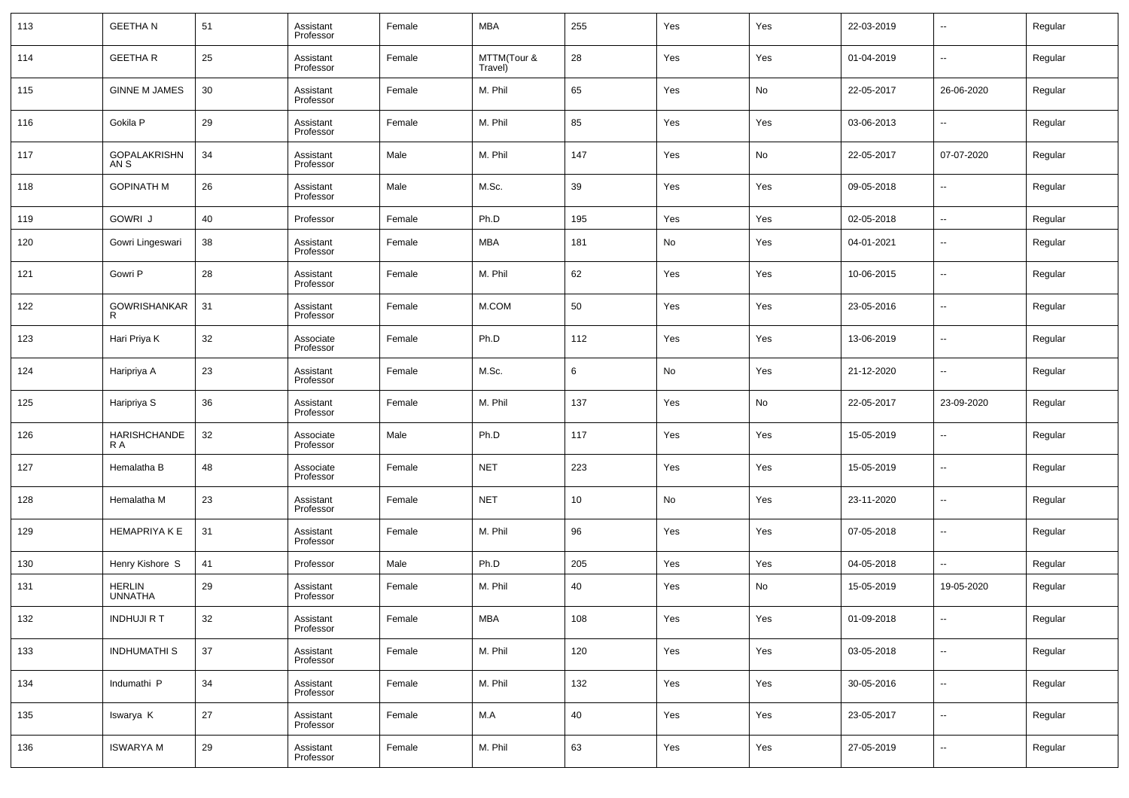| 113 | <b>GEETHAN</b>                  | 51 | Assistant<br>Professor | Female | MBA                    | 255 | Yes | Yes | 22-03-2019 | $\overline{\phantom{a}}$     | Regular |
|-----|---------------------------------|----|------------------------|--------|------------------------|-----|-----|-----|------------|------------------------------|---------|
| 114 | <b>GEETHAR</b>                  | 25 | Assistant<br>Professor | Female | MTTM(Tour &<br>Travel) | 28  | Yes | Yes | 01-04-2019 | $\overline{\phantom{a}}$     | Regular |
| 115 | <b>GINNE M JAMES</b>            | 30 | Assistant<br>Professor | Female | M. Phil                | 65  | Yes | No  | 22-05-2017 | 26-06-2020                   | Regular |
| 116 | Gokila P                        | 29 | Assistant<br>Professor | Female | M. Phil                | 85  | Yes | Yes | 03-06-2013 | $\overline{\phantom{a}}$     | Regular |
| 117 | <b>GOPALAKRISHN</b><br>AN S     | 34 | Assistant<br>Professor | Male   | M. Phil                | 147 | Yes | No  | 22-05-2017 | 07-07-2020                   | Regular |
| 118 | <b>GOPINATH M</b>               | 26 | Assistant<br>Professor | Male   | M.Sc.                  | 39  | Yes | Yes | 09-05-2018 | $\overline{\phantom{a}}$     | Regular |
| 119 | <b>GOWRI J</b>                  | 40 | Professor              | Female | Ph.D                   | 195 | Yes | Yes | 02-05-2018 | $\overline{\phantom{a}}$     | Regular |
| 120 | Gowri Lingeswari                | 38 | Assistant<br>Professor | Female | <b>MBA</b>             | 181 | No  | Yes | 04-01-2021 | $\overline{\phantom{a}}$     | Regular |
| 121 | Gowri P                         | 28 | Assistant<br>Professor | Female | M. Phil                | 62  | Yes | Yes | 10-06-2015 | $\overline{\phantom{a}}$     | Regular |
| 122 | <b>GOWRISHANKAR</b><br>R        | 31 | Assistant<br>Professor | Female | M.COM                  | 50  | Yes | Yes | 23-05-2016 | $\overline{\phantom{a}}$     | Regular |
| 123 | Hari Priya K                    | 32 | Associate<br>Professor | Female | Ph.D                   | 112 | Yes | Yes | 13-06-2019 | $\overline{\phantom{a}}$     | Regular |
| 124 | Haripriya A                     | 23 | Assistant<br>Professor | Female | M.Sc.                  | 6   | No  | Yes | 21-12-2020 | $\overline{\phantom{a}}$     | Regular |
| 125 | Haripriya S                     | 36 | Assistant<br>Professor | Female | M. Phil                | 137 | Yes | No  | 22-05-2017 | 23-09-2020                   | Regular |
| 126 | <b>HARISHCHANDE</b><br>R A      | 32 | Associate<br>Professor | Male   | Ph.D                   | 117 | Yes | Yes | 15-05-2019 | $\overline{\phantom{a}}$     | Regular |
| 127 | Hemalatha B                     | 48 | Associate<br>Professor | Female | <b>NET</b>             | 223 | Yes | Yes | 15-05-2019 | $\overline{\phantom{a}}$     | Regular |
| 128 | Hemalatha M                     | 23 | Assistant<br>Professor | Female | <b>NET</b>             | 10  | No  | Yes | 23-11-2020 | $\overline{\phantom{a}}$     | Regular |
| 129 | <b>HEMAPRIYA K E</b>            | 31 | Assistant<br>Professor | Female | M. Phil                | 96  | Yes | Yes | 07-05-2018 | $\overline{\phantom{a}}$     | Regular |
| 130 | Henry Kishore S                 | 41 | Professor              | Male   | Ph.D                   | 205 | Yes | Yes | 04-05-2018 | --                           | Regular |
| 131 | <b>HERLIN</b><br><b>UNNATHA</b> | 29 | Assistant<br>Professor | Female | M. Phil                | 40  | Yes | No  | 15-05-2019 | 19-05-2020                   | Regular |
| 132 | <b>INDHUJI R T</b>              | 32 | Assistant<br>Professor | Female | MBA                    | 108 | Yes | Yes | 01-09-2018 | $\qquad \qquad \blacksquare$ | Regular |
| 133 | <b>INDHUMATHI S</b>             | 37 | Assistant<br>Professor | Female | M. Phil                | 120 | Yes | Yes | 03-05-2018 | $\overline{\phantom{a}}$     | Regular |
| 134 | Indumathi P                     | 34 | Assistant<br>Professor | Female | M. Phil                | 132 | Yes | Yes | 30-05-2016 | $\overline{\phantom{a}}$     | Regular |
| 135 | Iswarya K                       | 27 | Assistant<br>Professor | Female | M.A                    | 40  | Yes | Yes | 23-05-2017 | $\overline{\phantom{a}}$     | Regular |
| 136 | <b>ISWARYA M</b>                | 29 | Assistant<br>Professor | Female | M. Phil                | 63  | Yes | Yes | 27-05-2019 | $\overline{\phantom{a}}$     | Regular |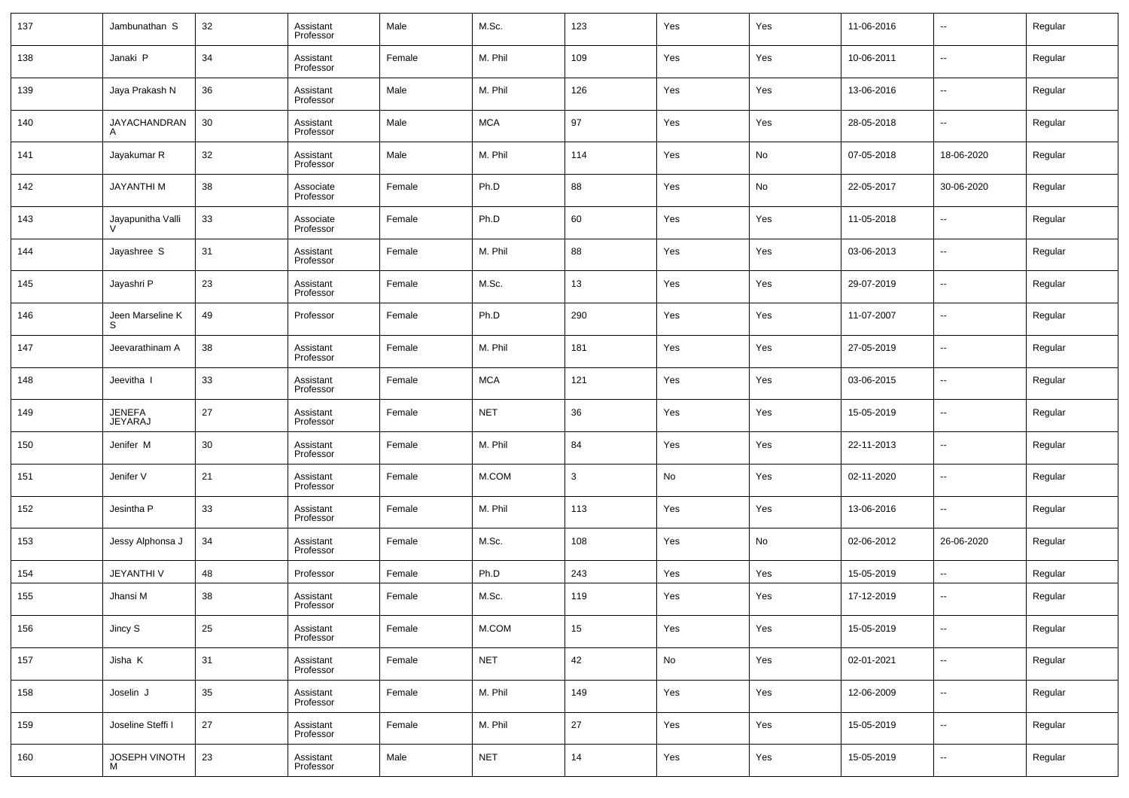| 137 | Jambunathan S                   | 32 | Assistant<br>Professor | Male   | M.Sc.      | 123          | Yes | Yes | 11-06-2016 | $\sim$                   | Regular |
|-----|---------------------------------|----|------------------------|--------|------------|--------------|-----|-----|------------|--------------------------|---------|
| 138 | Janaki P                        | 34 | Assistant<br>Professor | Female | M. Phil    | 109          | Yes | Yes | 10-06-2011 | --                       | Regular |
| 139 | Jaya Prakash N                  | 36 | Assistant<br>Professor | Male   | M. Phil    | 126          | Yes | Yes | 13-06-2016 | $\overline{\phantom{a}}$ | Regular |
| 140 | JAYACHANDRAN                    | 30 | Assistant<br>Professor | Male   | <b>MCA</b> | 97           | Yes | Yes | 28-05-2018 | --                       | Regular |
| 141 | Jayakumar R                     | 32 | Assistant<br>Professor | Male   | M. Phil    | 114          | Yes | No  | 07-05-2018 | 18-06-2020               | Regular |
| 142 | <b>JAYANTHIM</b>                | 38 | Associate<br>Professor | Female | Ph.D       | 88           | Yes | No  | 22-05-2017 | 30-06-2020               | Regular |
| 143 | Jayapunitha Valli               | 33 | Associate<br>Professor | Female | Ph.D       | 60           | Yes | Yes | 11-05-2018 | --                       | Regular |
| 144 | Jayashree S                     | 31 | Assistant<br>Professor | Female | M. Phil    | 88           | Yes | Yes | 03-06-2013 | $\overline{\phantom{a}}$ | Regular |
| 145 | Jayashri P                      | 23 | Assistant<br>Professor | Female | M.Sc.      | 13           | Yes | Yes | 29-07-2019 | --                       | Regular |
| 146 | Jeen Marseline K<br>S           | 49 | Professor              | Female | Ph.D       | 290          | Yes | Yes | 11-07-2007 | ш.                       | Regular |
| 147 | Jeevarathinam A                 | 38 | Assistant<br>Professor | Female | M. Phil    | 181          | Yes | Yes | 27-05-2019 | --                       | Regular |
| 148 | Jeevitha                        | 33 | Assistant<br>Professor | Female | <b>MCA</b> | 121          | Yes | Yes | 03-06-2015 | ш.                       | Regular |
| 149 | <b>JENEFA</b><br><b>JEYARAJ</b> | 27 | Assistant<br>Professor | Female | <b>NET</b> | 36           | Yes | Yes | 15-05-2019 | --                       | Regular |
| 150 | Jenifer M                       | 30 | Assistant<br>Professor | Female | M. Phil    | 84           | Yes | Yes | 22-11-2013 | $\overline{a}$           | Regular |
| 151 | Jenifer V                       | 21 | Assistant<br>Professor | Female | M.COM      | $\mathbf{3}$ | No  | Yes | 02-11-2020 | --                       | Regular |
| 152 | Jesintha P                      | 33 | Assistant<br>Professor | Female | M. Phil    | 113          | Yes | Yes | 13-06-2016 | $\overline{a}$           | Regular |
| 153 | Jessy Alphonsa J                | 34 | Assistant<br>Professor | Female | M.Sc.      | 108          | Yes | No  | 02-06-2012 | 26-06-2020               | Regular |
| 154 | <b>JEYANTHI V</b>               | 48 | Professor              | Female | Ph.D       | 243          | Yes | Yes | 15-05-2019 | --                       | Regular |
| 155 | Jhansi M                        | 38 | Assistant<br>Professor | Female | M.Sc.      | 119          | Yes | Yes | 17-12-2019 | --                       | Regular |
| 156 | Jincy S                         | 25 | Assistant<br>Professor | Female | M.COM      | 15           | Yes | Yes | 15-05-2019 | $\sim$                   | Regular |
| 157 | Jisha K                         | 31 | Assistant<br>Professor | Female | <b>NET</b> | 42           | No  | Yes | 02-01-2021 | $\sim$                   | Regular |
| 158 | Joselin J                       | 35 | Assistant<br>Professor | Female | M. Phil    | 149          | Yes | Yes | 12-06-2009 | $\sim$                   | Regular |
| 159 | Joseline Steffi I               | 27 | Assistant<br>Professor | Female | M. Phil    | 27           | Yes | Yes | 15-05-2019 | $\sim$                   | Regular |
| 160 | JOSEPH VINOTH<br>М              | 23 | Assistant<br>Professor | Male   | <b>NET</b> | 14           | Yes | Yes | 15-05-2019 | $\sim$                   | Regular |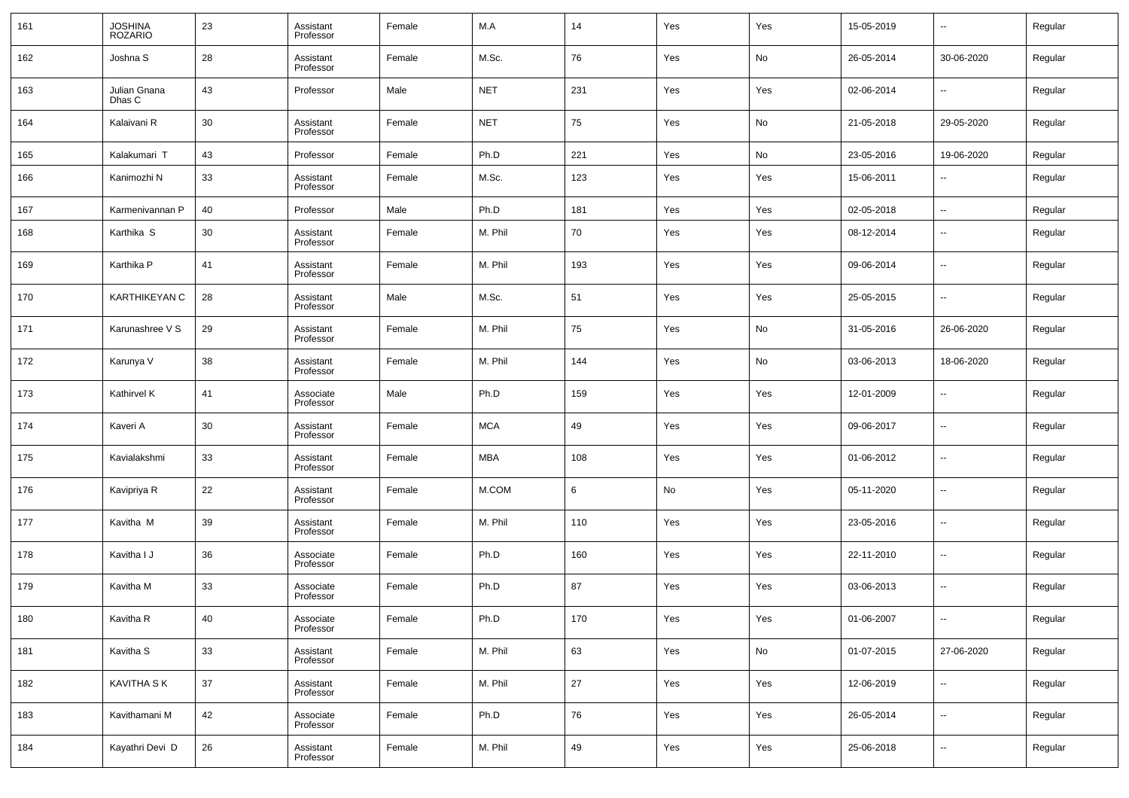| 161 | JOSHINA<br>ROZARIO     | 23 | Assistant<br>Professor | Female | M.A        | 14         | Yes | Yes | 15-05-2019 | $\overline{\phantom{a}}$ | Regular |
|-----|------------------------|----|------------------------|--------|------------|------------|-----|-----|------------|--------------------------|---------|
| 162 | Joshna S               | 28 | Assistant<br>Professor | Female | M.Sc.      | 76         | Yes | No  | 26-05-2014 | 30-06-2020               | Regular |
| 163 | Julian Gnana<br>Dhas C | 43 | Professor              | Male   | <b>NET</b> | 231        | Yes | Yes | 02-06-2014 | $\overline{\phantom{a}}$ | Regular |
| 164 | Kalaivani R            | 30 | Assistant<br>Professor | Female | <b>NET</b> | 75         | Yes | No  | 21-05-2018 | 29-05-2020               | Regular |
| 165 | Kalakumari T           | 43 | Professor              | Female | Ph.D       | 221        | Yes | No  | 23-05-2016 | 19-06-2020               | Regular |
| 166 | Kanimozhi N            | 33 | Assistant<br>Professor | Female | M.Sc.      | 123        | Yes | Yes | 15-06-2011 | $\overline{\phantom{a}}$ | Regular |
| 167 | Karmenivannan P        | 40 | Professor              | Male   | Ph.D       | 181        | Yes | Yes | 02-05-2018 | $\overline{\phantom{a}}$ | Regular |
| 168 | Karthika S             | 30 | Assistant<br>Professor | Female | M. Phil    | 70         | Yes | Yes | 08-12-2014 | $\overline{\phantom{a}}$ | Regular |
| 169 | Karthika P             | 41 | Assistant<br>Professor | Female | M. Phil    | 193        | Yes | Yes | 09-06-2014 | $\overline{\phantom{a}}$ | Regular |
| 170 | KARTHIKEYAN C          | 28 | Assistant<br>Professor | Male   | M.Sc.      | 51         | Yes | Yes | 25-05-2015 | $\overline{\phantom{a}}$ | Regular |
| 171 | Karunashree V S        | 29 | Assistant<br>Professor | Female | M. Phil    | 75         | Yes | No  | 31-05-2016 | 26-06-2020               | Regular |
| 172 | Karunya V              | 38 | Assistant<br>Professor | Female | M. Phil    | 144        | Yes | No  | 03-06-2013 | 18-06-2020               | Regular |
| 173 | Kathirvel K            | 41 | Associate<br>Professor | Male   | Ph.D       | 159        | Yes | Yes | 12-01-2009 | $\overline{\phantom{a}}$ | Regular |
| 174 | Kaveri A               | 30 | Assistant<br>Professor | Female | <b>MCA</b> | 49         | Yes | Yes | 09-06-2017 | $\overline{\phantom{a}}$ | Regular |
| 175 | Kavialakshmi           | 33 | Assistant<br>Professor | Female | MBA        | 108        | Yes | Yes | 01-06-2012 | $\overline{\phantom{a}}$ | Regular |
| 176 | Kavipriya R            | 22 | Assistant<br>Professor | Female | M.COM      | 6          | No  | Yes | 05-11-2020 | $\overline{\phantom{a}}$ | Regular |
| 177 | Kavitha M              | 39 | Assistant<br>Professor | Female | M. Phil    | 110        | Yes | Yes | 23-05-2016 | $\overline{\phantom{a}}$ | Regular |
| 178 | Kavitha I J            | 36 | Associate<br>Professor | Female | Ph.D       | 160        | Yes | Yes | 22-11-2010 | $\overline{\phantom{a}}$ | Regular |
| 179 | Kavitha M              | 33 | Associate<br>Professor | Female | Ph.D       | 87         | Yes | Yes | 03-06-2013 | $\overline{\phantom{a}}$ | Regular |
| 180 | Kavitha R              | 40 | Associate<br>Professor | Female | Ph.D       | 170        | Yes | Yes | 01-06-2007 | $\overline{\phantom{a}}$ | Regular |
| 181 | Kavitha S              | 33 | Assistant<br>Professor | Female | M. Phil    | 63         | Yes | No  | 01-07-2015 | 27-06-2020               | Regular |
| 182 | <b>KAVITHA SK</b>      | 37 | Assistant<br>Professor | Female | M. Phil    | 27         | Yes | Yes | 12-06-2019 | $\overline{\phantom{a}}$ | Regular |
| 183 | Kavithamani M          | 42 | Associate<br>Professor | Female | Ph.D       | ${\bf 76}$ | Yes | Yes | 26-05-2014 | $\overline{\phantom{a}}$ | Regular |
| 184 | Kayathri Devi D        | 26 | Assistant<br>Professor | Female | M. Phil    | 49         | Yes | Yes | 25-06-2018 | $\overline{\phantom{a}}$ | Regular |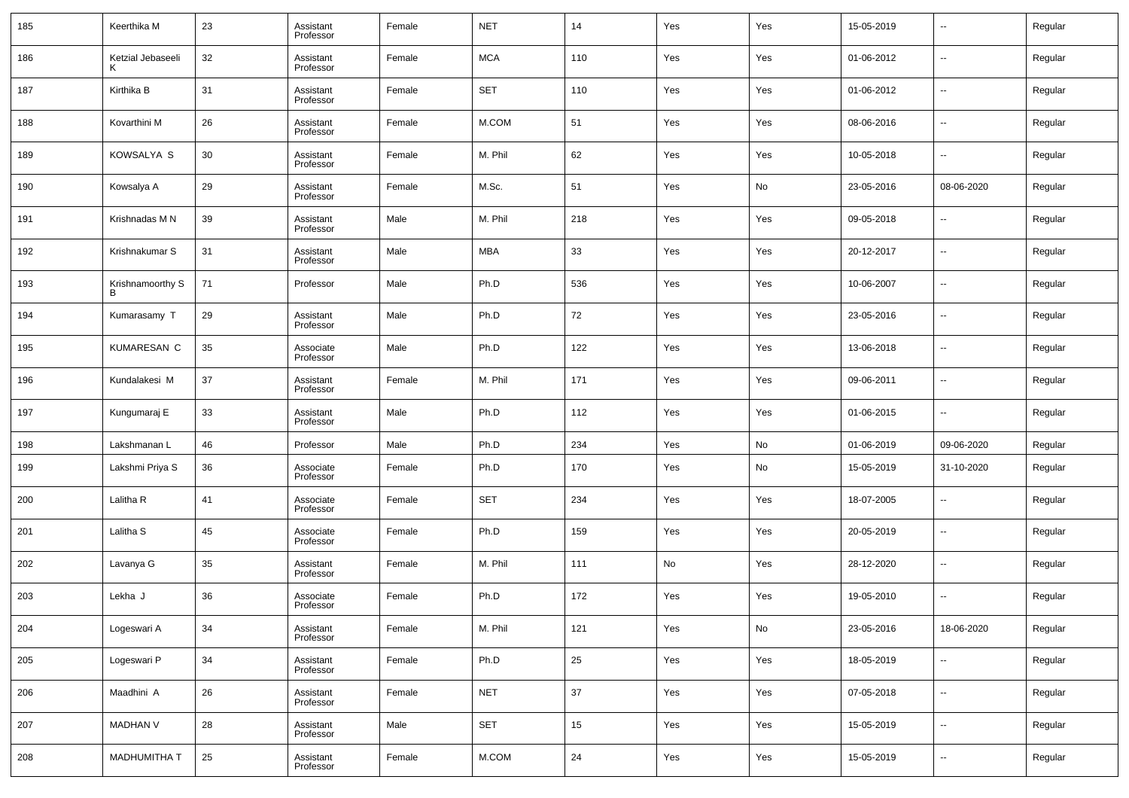| 185 | Keerthika M       | 23 | Assistant<br>Professor | Female | <b>NET</b> | 14     | Yes | Yes | 15-05-2019 | $\overline{\phantom{a}}$ | Regular |
|-----|-------------------|----|------------------------|--------|------------|--------|-----|-----|------------|--------------------------|---------|
| 186 | Ketzial Jebaseeli | 32 | Assistant<br>Professor | Female | <b>MCA</b> | 110    | Yes | Yes | 01-06-2012 | $\overline{\phantom{a}}$ | Regular |
| 187 | Kirthika B        | 31 | Assistant<br>Professor | Female | <b>SET</b> | 110    | Yes | Yes | 01-06-2012 | $\overline{\phantom{a}}$ | Regular |
| 188 | Kovarthini M      | 26 | Assistant<br>Professor | Female | M.COM      | 51     | Yes | Yes | 08-06-2016 | --                       | Regular |
| 189 | KOWSALYA S        | 30 | Assistant<br>Professor | Female | M. Phil    | 62     | Yes | Yes | 10-05-2018 | $\overline{\phantom{a}}$ | Regular |
| 190 | Kowsalya A        | 29 | Assistant<br>Professor | Female | M.Sc.      | 51     | Yes | No  | 23-05-2016 | 08-06-2020               | Regular |
| 191 | Krishnadas M N    | 39 | Assistant<br>Professor | Male   | M. Phil    | 218    | Yes | Yes | 09-05-2018 | $\overline{\phantom{a}}$ | Regular |
| 192 | Krishnakumar S    | 31 | Assistant<br>Professor | Male   | <b>MBA</b> | 33     | Yes | Yes | 20-12-2017 | $\overline{\phantom{a}}$ | Regular |
| 193 | Krishnamoorthy S  | 71 | Professor              | Male   | Ph.D       | 536    | Yes | Yes | 10-06-2007 | --                       | Regular |
| 194 | Kumarasamy T      | 29 | Assistant<br>Professor | Male   | Ph.D       | 72     | Yes | Yes | 23-05-2016 | $\overline{\phantom{a}}$ | Regular |
| 195 | KUMARESAN C       | 35 | Associate<br>Professor | Male   | Ph.D       | 122    | Yes | Yes | 13-06-2018 | $\overline{\phantom{a}}$ | Regular |
| 196 | Kundalakesi M     | 37 | Assistant<br>Professor | Female | M. Phil    | 171    | Yes | Yes | 09-06-2011 | --                       | Regular |
| 197 | Kungumaraj E      | 33 | Assistant<br>Professor | Male   | Ph.D       | 112    | Yes | Yes | 01-06-2015 | $\overline{\phantom{a}}$ | Regular |
| 198 | Lakshmanan L      | 46 | Professor              | Male   | Ph.D       | 234    | Yes | No  | 01-06-2019 | 09-06-2020               | Regular |
| 199 | Lakshmi Priya S   | 36 | Associate<br>Professor | Female | Ph.D       | 170    | Yes | No  | 15-05-2019 | 31-10-2020               | Regular |
| 200 | Lalitha R         | 41 | Associate<br>Professor | Female | <b>SET</b> | 234    | Yes | Yes | 18-07-2005 | $\overline{\phantom{a}}$ | Regular |
| 201 | Lalitha S         | 45 | Associate<br>Professor | Female | Ph.D       | 159    | Yes | Yes | 20-05-2019 | $\overline{\phantom{a}}$ | Regular |
| 202 | Lavanya G         | 35 | Assistant<br>Professor | Female | M. Phil    | 111    | No  | Yes | 28-12-2020 | $\overline{\phantom{a}}$ | Regular |
| 203 | Lekha J           | 36 | Associate<br>Professor | Female | Ph.D       | 172    | Yes | Yes | 19-05-2010 | $\overline{\phantom{a}}$ | Regular |
| 204 | Logeswari A       | 34 | Assistant<br>Professor | Female | M. Phil    | 121    | Yes | No  | 23-05-2016 | 18-06-2020               | Regular |
| 205 | Logeswari P       | 34 | Assistant<br>Professor | Female | Ph.D       | $25\,$ | Yes | Yes | 18-05-2019 | $\overline{\phantom{a}}$ | Regular |
| 206 | Maadhini A        | 26 | Assistant<br>Professor | Female | <b>NET</b> | 37     | Yes | Yes | 07-05-2018 | ۰.                       | Regular |
| 207 | <b>MADHAN V</b>   | 28 | Assistant<br>Professor | Male   | <b>SET</b> | 15     | Yes | Yes | 15-05-2019 | ۰.                       | Regular |
| 208 | MADHUMITHA T      | 25 | Assistant<br>Professor | Female | M.COM      | 24     | Yes | Yes | 15-05-2019 | $\overline{\phantom{a}}$ | Regular |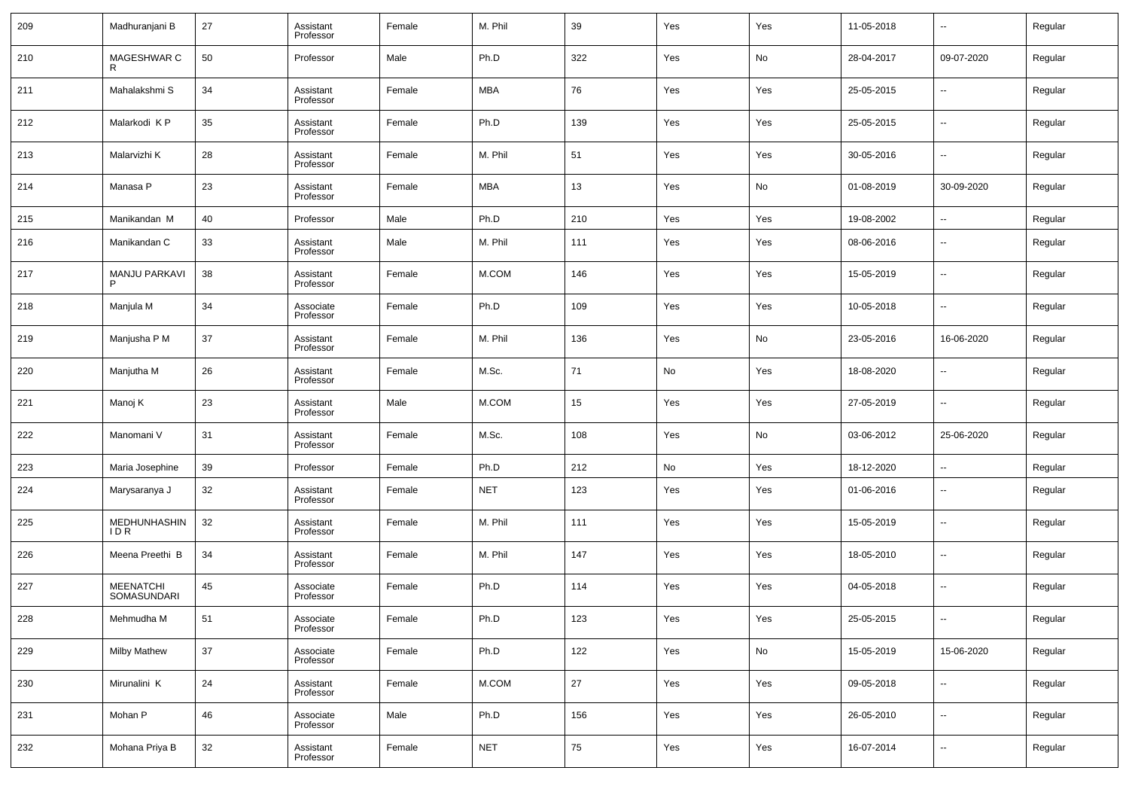| 209 | Madhuranjani B                  | 27 | Assistant<br>Professor | Female | M. Phil    | 39     | Yes | Yes | 11-05-2018 | $\overline{\phantom{a}}$ | Regular |
|-----|---------------------------------|----|------------------------|--------|------------|--------|-----|-----|------------|--------------------------|---------|
| 210 | MAGESHWAR C<br>R                | 50 | Professor              | Male   | Ph.D       | 322    | Yes | No  | 28-04-2017 | 09-07-2020               | Regular |
| 211 | Mahalakshmi S                   | 34 | Assistant<br>Professor | Female | MBA        | 76     | Yes | Yes | 25-05-2015 | $\overline{\phantom{a}}$ | Regular |
| 212 | Malarkodi K P                   | 35 | Assistant<br>Professor | Female | Ph.D       | 139    | Yes | Yes | 25-05-2015 | $\overline{\phantom{a}}$ | Regular |
| 213 | Malarvizhi K                    | 28 | Assistant<br>Professor | Female | M. Phil    | 51     | Yes | Yes | 30-05-2016 | $\overline{\phantom{a}}$ | Regular |
| 214 | Manasa P                        | 23 | Assistant<br>Professor | Female | MBA        | 13     | Yes | No  | 01-08-2019 | 30-09-2020               | Regular |
| 215 | Manikandan M                    | 40 | Professor              | Male   | Ph.D       | 210    | Yes | Yes | 19-08-2002 | $\overline{\phantom{a}}$ | Regular |
| 216 | Manikandan C                    | 33 | Assistant<br>Professor | Male   | M. Phil    | 111    | Yes | Yes | 08-06-2016 | $\overline{\phantom{a}}$ | Regular |
| 217 | MANJU PARKAVI<br>P              | 38 | Assistant<br>Professor | Female | M.COM      | 146    | Yes | Yes | 15-05-2019 | $\overline{\phantom{a}}$ | Regular |
| 218 | Manjula M                       | 34 | Associate<br>Professor | Female | Ph.D       | 109    | Yes | Yes | 10-05-2018 | $\overline{\phantom{a}}$ | Regular |
| 219 | Manjusha P M                    | 37 | Assistant<br>Professor | Female | M. Phil    | 136    | Yes | No  | 23-05-2016 | 16-06-2020               | Regular |
| 220 | Manjutha M                      | 26 | Assistant<br>Professor | Female | M.Sc.      | 71     | No  | Yes | 18-08-2020 | $\overline{\phantom{a}}$ | Regular |
| 221 | Manoj K                         | 23 | Assistant<br>Professor | Male   | M.COM      | 15     | Yes | Yes | 27-05-2019 | $\overline{\phantom{a}}$ | Regular |
| 222 | Manomani V                      | 31 | Assistant<br>Professor | Female | M.Sc.      | 108    | Yes | No  | 03-06-2012 | 25-06-2020               | Regular |
| 223 | Maria Josephine                 | 39 | Professor              | Female | Ph.D       | 212    | No  | Yes | 18-12-2020 | $\overline{\phantom{a}}$ | Regular |
| 224 | Marysaranya J                   | 32 | Assistant<br>Professor | Female | <b>NET</b> | 123    | Yes | Yes | 01-06-2016 | $\overline{\phantom{a}}$ | Regular |
| 225 | MEDHUNHASHIN<br>IDR.            | 32 | Assistant<br>Professor | Female | M. Phil    | 111    | Yes | Yes | 15-05-2019 | $\overline{\phantom{a}}$ | Regular |
| 226 | Meena Preethi B                 | 34 | Assistant<br>Professor | Female | M. Phil    | 147    | Yes | Yes | 18-05-2010 | $\sim$                   | Regular |
| 227 | <b>MEENATCHI</b><br>SOMASUNDARI | 45 | Associate<br>Professor | Female | Ph.D       | 114    | Yes | Yes | 04-05-2018 | $\overline{\phantom{a}}$ | Regular |
| 228 | Mehmudha M                      | 51 | Associate<br>Professor | Female | Ph.D       | 123    | Yes | Yes | 25-05-2015 | $\overline{\phantom{a}}$ | Regular |
| 229 | <b>Milby Mathew</b>             | 37 | Associate<br>Professor | Female | Ph.D       | 122    | Yes | No  | 15-05-2019 | 15-06-2020               | Regular |
| 230 | Mirunalini K                    | 24 | Assistant<br>Professor | Female | M.COM      | $27\,$ | Yes | Yes | 09-05-2018 | $\overline{\phantom{a}}$ | Regular |
| 231 | Mohan P                         | 46 | Associate<br>Professor | Male   | Ph.D       | 156    | Yes | Yes | 26-05-2010 | $\overline{\phantom{a}}$ | Regular |
| 232 | Mohana Priya B                  | 32 | Assistant<br>Professor | Female | <b>NET</b> | 75     | Yes | Yes | 16-07-2014 | $\overline{\phantom{a}}$ | Regular |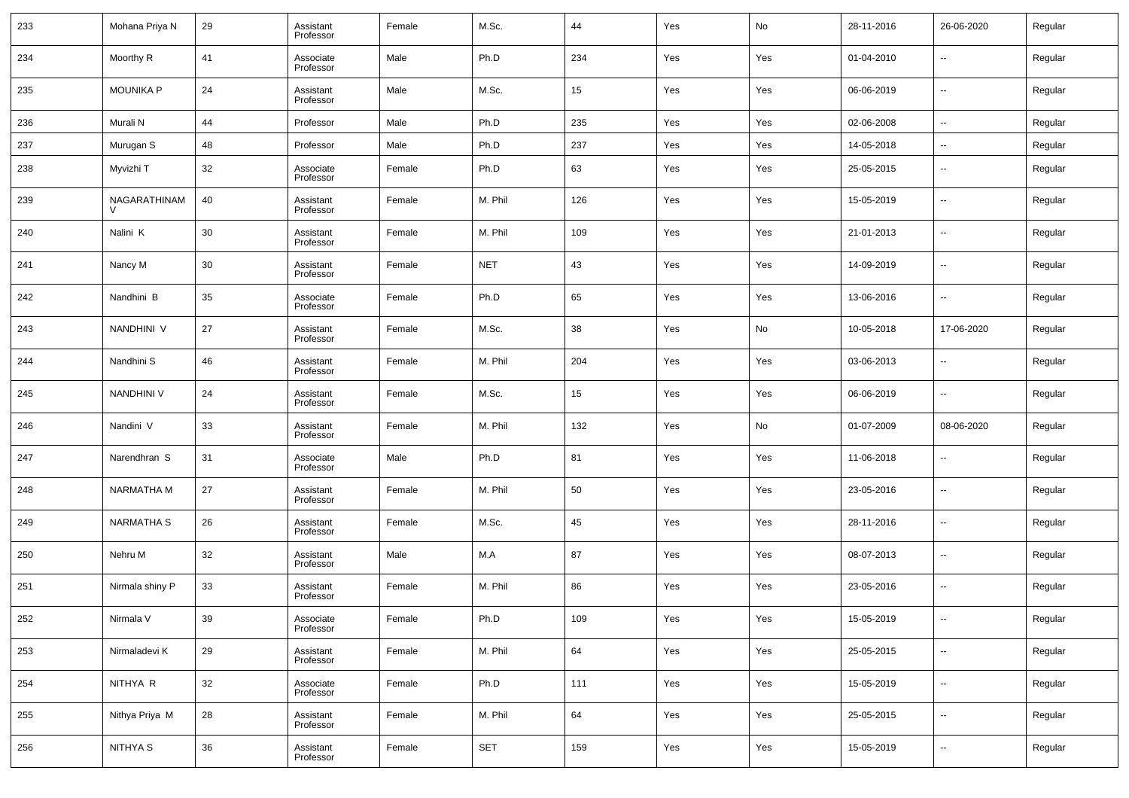| 233 | Mohana Priya N         | 29 | Assistant<br>Professor | Female | M.Sc.      | 44  | Yes | No  | 28-11-2016 | 26-06-2020               | Regular |
|-----|------------------------|----|------------------------|--------|------------|-----|-----|-----|------------|--------------------------|---------|
| 234 | Moorthy R              | 41 | Associate<br>Professor | Male   | Ph.D       | 234 | Yes | Yes | 01-04-2010 | $\overline{\phantom{a}}$ | Regular |
| 235 | <b>MOUNIKA P</b>       | 24 | Assistant<br>Professor | Male   | M.Sc.      | 15  | Yes | Yes | 06-06-2019 | $\overline{\phantom{a}}$ | Regular |
| 236 | Murali N               | 44 | Professor              | Male   | Ph.D       | 235 | Yes | Yes | 02-06-2008 | $\sim$                   | Regular |
| 237 | Murugan S              | 48 | Professor              | Male   | Ph.D       | 237 | Yes | Yes | 14-05-2018 | $\overline{\phantom{a}}$ | Regular |
| 238 | Myvizhi T              | 32 | Associate<br>Professor | Female | Ph.D       | 63  | Yes | Yes | 25-05-2015 | $\overline{\phantom{a}}$ | Regular |
| 239 | NAGARATHINAM<br>$\vee$ | 40 | Assistant<br>Professor | Female | M. Phil    | 126 | Yes | Yes | 15-05-2019 | $\overline{\phantom{a}}$ | Regular |
| 240 | Nalini K               | 30 | Assistant<br>Professor | Female | M. Phil    | 109 | Yes | Yes | 21-01-2013 | $\overline{\phantom{a}}$ | Regular |
| 241 | Nancy M                | 30 | Assistant<br>Professor | Female | <b>NET</b> | 43  | Yes | Yes | 14-09-2019 | $\overline{\phantom{a}}$ | Regular |
| 242 | Nandhini B             | 35 | Associate<br>Professor | Female | Ph.D       | 65  | Yes | Yes | 13-06-2016 | $\overline{\phantom{a}}$ | Regular |
| 243 | NANDHINI V             | 27 | Assistant<br>Professor | Female | M.Sc.      | 38  | Yes | No  | 10-05-2018 | 17-06-2020               | Regular |
| 244 | Nandhini S             | 46 | Assistant<br>Professor | Female | M. Phil    | 204 | Yes | Yes | 03-06-2013 | $\overline{\phantom{a}}$ | Regular |
| 245 | <b>NANDHINI V</b>      | 24 | Assistant<br>Professor | Female | M.Sc.      | 15  | Yes | Yes | 06-06-2019 | $\overline{\phantom{a}}$ | Regular |
| 246 | Nandini V              | 33 | Assistant<br>Professor | Female | M. Phil    | 132 | Yes | No  | 01-07-2009 | 08-06-2020               | Regular |
| 247 | Narendhran S           | 31 | Associate<br>Professor | Male   | Ph.D       | 81  | Yes | Yes | 11-06-2018 | $\overline{\phantom{a}}$ | Regular |
| 248 | NARMATHA M             | 27 | Assistant<br>Professor | Female | M. Phil    | 50  | Yes | Yes | 23-05-2016 | $\overline{\phantom{a}}$ | Regular |
| 249 | <b>NARMATHA S</b>      | 26 | Assistant<br>Professor | Female | M.Sc.      | 45  | Yes | Yes | 28-11-2016 | $\overline{\phantom{a}}$ | Regular |
| 250 | Nehru M                | 32 | Assistant<br>Professor | Male   | M.A        | 87  | Yes | Yes | 08-07-2013 | $\overline{\phantom{a}}$ | Regular |
| 251 | Nirmala shiny P        | 33 | Assistant<br>Professor | Female | M. Phil    | 86  | Yes | Yes | 23-05-2016 | $\overline{\phantom{a}}$ | Regular |
| 252 | Nirmala V              | 39 | Associate<br>Professor | Female | Ph.D       | 109 | Yes | Yes | 15-05-2019 | $\overline{\phantom{a}}$ | Regular |
| 253 | Nirmaladevi K          | 29 | Assistant<br>Professor | Female | M. Phil    | 64  | Yes | Yes | 25-05-2015 | $\sim$                   | Regular |
| 254 | NITHYA R               | 32 | Associate<br>Professor | Female | Ph.D       | 111 | Yes | Yes | 15-05-2019 | $\sim$                   | Regular |
| 255 | Nithya Priya M         | 28 | Assistant<br>Professor | Female | M. Phil    | 64  | Yes | Yes | 25-05-2015 | $\sim$                   | Regular |
| 256 | NITHYA S               | 36 | Assistant<br>Professor | Female | SET        | 159 | Yes | Yes | 15-05-2019 | $\overline{\phantom{a}}$ | Regular |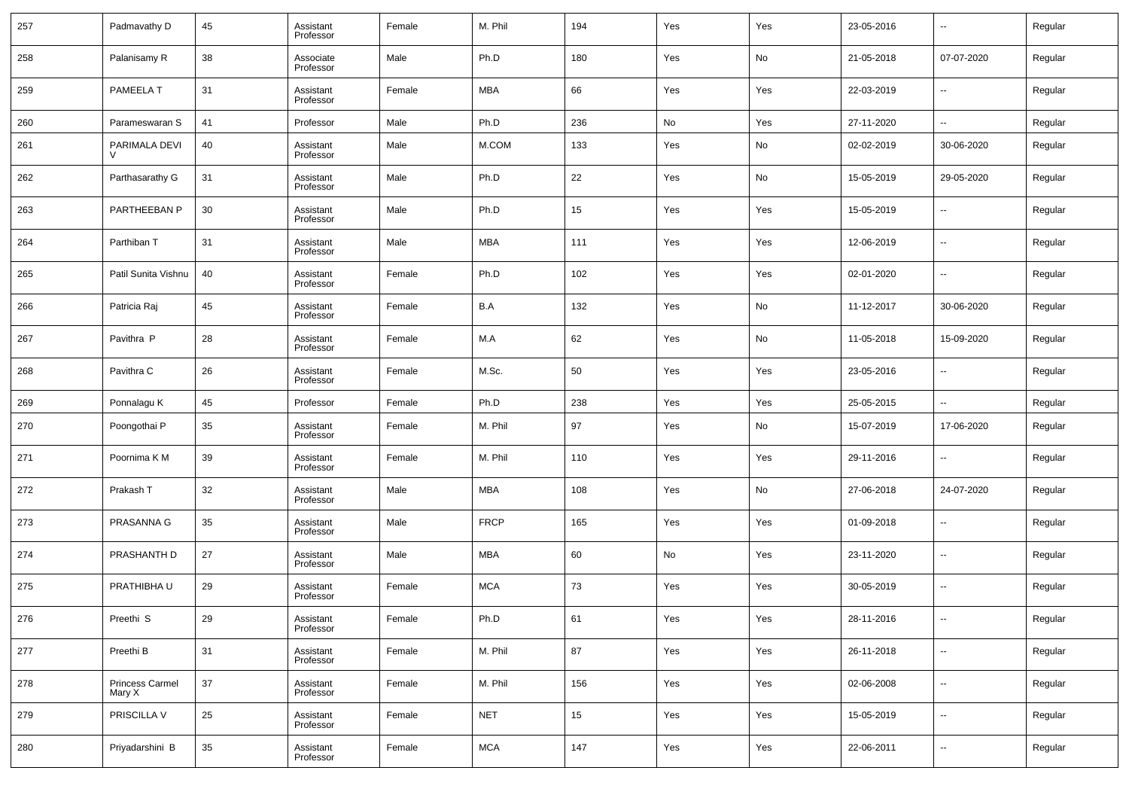| 257 | Padmavathy D              | 45 | Assistant<br>Professor | Female | M. Phil     | 194 | Yes | Yes | 23-05-2016 | $\overline{\phantom{a}}$ | Regular |
|-----|---------------------------|----|------------------------|--------|-------------|-----|-----|-----|------------|--------------------------|---------|
| 258 | Palanisamy R              | 38 | Associate<br>Professor | Male   | Ph.D        | 180 | Yes | No  | 21-05-2018 | 07-07-2020               | Regular |
| 259 | PAMEELA T                 | 31 | Assistant<br>Professor | Female | <b>MBA</b>  | 66  | Yes | Yes | 22-03-2019 | $\overline{\phantom{a}}$ | Regular |
| 260 | Parameswaran S            | 41 | Professor              | Male   | Ph.D        | 236 | No  | Yes | 27-11-2020 | $\overline{\phantom{a}}$ | Regular |
| 261 | PARIMALA DEVI             | 40 | Assistant<br>Professor | Male   | M.COM       | 133 | Yes | No  | 02-02-2019 | 30-06-2020               | Regular |
| 262 | Parthasarathy G           | 31 | Assistant<br>Professor | Male   | Ph.D        | 22  | Yes | No  | 15-05-2019 | 29-05-2020               | Regular |
| 263 | PARTHEEBAN P              | 30 | Assistant<br>Professor | Male   | Ph.D        | 15  | Yes | Yes | 15-05-2019 | ٠.                       | Regular |
| 264 | Parthiban T               | 31 | Assistant<br>Professor | Male   | <b>MBA</b>  | 111 | Yes | Yes | 12-06-2019 | --                       | Regular |
| 265 | Patil Sunita Vishnu       | 40 | Assistant<br>Professor | Female | Ph.D        | 102 | Yes | Yes | 02-01-2020 | --                       | Regular |
| 266 | Patricia Raj              | 45 | Assistant<br>Professor | Female | B.A         | 132 | Yes | No  | 11-12-2017 | 30-06-2020               | Regular |
| 267 | Pavithra P                | 28 | Assistant<br>Professor | Female | M.A         | 62  | Yes | No  | 11-05-2018 | 15-09-2020               | Regular |
| 268 | Pavithra C                | 26 | Assistant<br>Professor | Female | M.Sc.       | 50  | Yes | Yes | 23-05-2016 | ٠.                       | Regular |
| 269 | Ponnalagu K               | 45 | Professor              | Female | Ph.D        | 238 | Yes | Yes | 25-05-2015 | --                       | Regular |
| 270 | Poongothai P              | 35 | Assistant<br>Professor | Female | M. Phil     | 97  | Yes | No  | 15-07-2019 | 17-06-2020               | Regular |
| 271 | Poornima K M              | 39 | Assistant<br>Professor | Female | M. Phil     | 110 | Yes | Yes | 29-11-2016 | $\overline{\phantom{a}}$ | Regular |
| 272 | Prakash T                 | 32 | Assistant<br>Professor | Male   | <b>MBA</b>  | 108 | Yes | No  | 27-06-2018 | 24-07-2020               | Regular |
| 273 | PRASANNA G                | 35 | Assistant<br>Professor | Male   | <b>FRCP</b> | 165 | Yes | Yes | 01-09-2018 | $\ddotsc$                | Regular |
| 274 | PRASHANTH D               | 27 | Assistant<br>Professor | Male   | <b>MBA</b>  | 60  | No  | Yes | 23-11-2020 | $\sim$                   | Regular |
| 275 | PRATHIBHA U               | 29 | Assistant<br>Professor | Female | <b>MCA</b>  | 73  | Yes | Yes | 30-05-2019 | $\sim$                   | Regular |
| 276 | Preethi S                 | 29 | Assistant<br>Professor | Female | Ph.D        | 61  | Yes | Yes | 28-11-2016 | $\ddot{\phantom{1}}$     | Regular |
| 277 | Preethi B                 | 31 | Assistant<br>Professor | Female | M. Phil     | 87  | Yes | Yes | 26-11-2018 | $\sim$                   | Regular |
| 278 | Princess Carmel<br>Mary X | 37 | Assistant<br>Professor | Female | M. Phil     | 156 | Yes | Yes | 02-06-2008 | $\ddotsc$                | Regular |
| 279 | PRISCILLA V               | 25 | Assistant<br>Professor | Female | <b>NET</b>  | 15  | Yes | Yes | 15-05-2019 | $\sim$                   | Regular |
| 280 | Priyadarshini B           | 35 | Assistant<br>Professor | Female | <b>MCA</b>  | 147 | Yes | Yes | 22-06-2011 | $\ddotsc$                | Regular |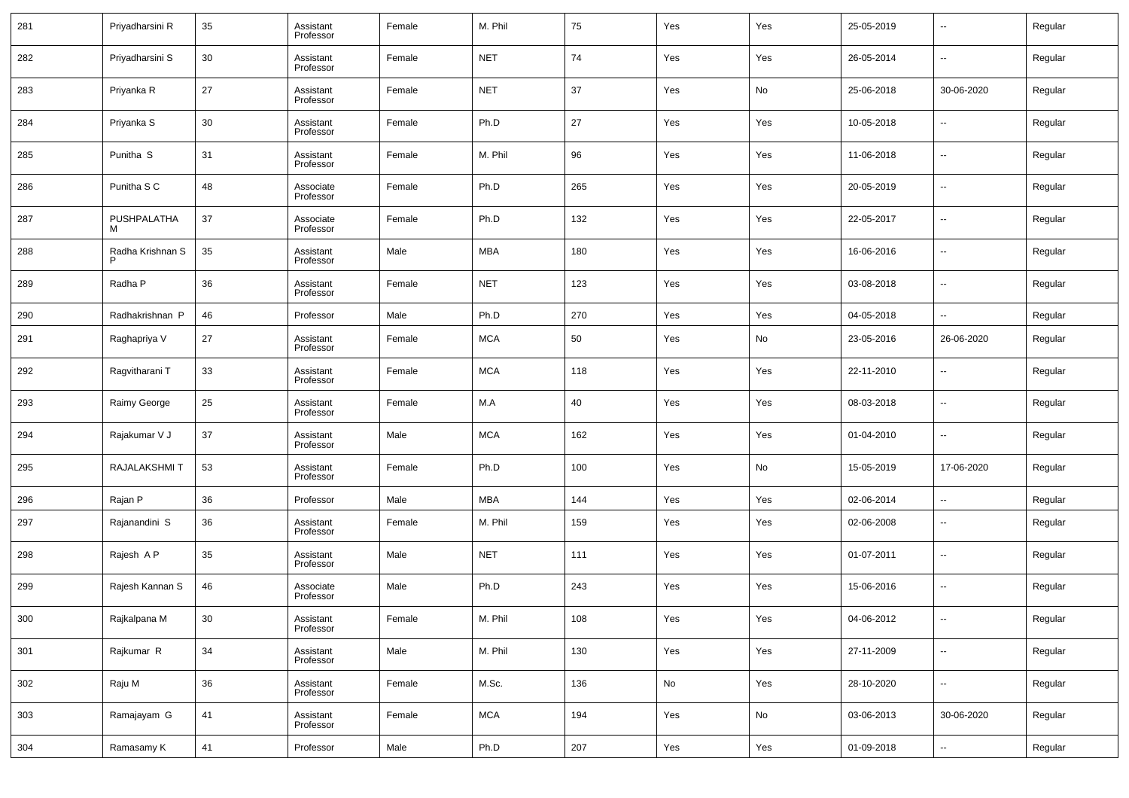| 281 | Priyadharsini R      | 35 | Assistant<br>Professor | Female | M. Phil    | 75  | Yes | Yes | 25-05-2019 | $\overline{\phantom{a}}$ | Regular |
|-----|----------------------|----|------------------------|--------|------------|-----|-----|-----|------------|--------------------------|---------|
| 282 | Priyadharsini S      | 30 | Assistant<br>Professor | Female | <b>NET</b> | 74  | Yes | Yes | 26-05-2014 | $\overline{\phantom{a}}$ | Regular |
| 283 | Priyanka R           | 27 | Assistant<br>Professor | Female | <b>NET</b> | 37  | Yes | No  | 25-06-2018 | 30-06-2020               | Regular |
| 284 | Priyanka S           | 30 | Assistant<br>Professor | Female | Ph.D       | 27  | Yes | Yes | 10-05-2018 | $\overline{\phantom{a}}$ | Regular |
| 285 | Punitha <sub>S</sub> | 31 | Assistant<br>Professor | Female | M. Phil    | 96  | Yes | Yes | 11-06-2018 | $\overline{\phantom{a}}$ | Regular |
| 286 | Punitha S C          | 48 | Associate<br>Professor | Female | Ph.D       | 265 | Yes | Yes | 20-05-2019 | $\overline{\phantom{a}}$ | Regular |
| 287 | PUSHPALATHA<br>м     | 37 | Associate<br>Professor | Female | Ph.D       | 132 | Yes | Yes | 22-05-2017 | $\overline{\phantom{a}}$ | Regular |
| 288 | Radha Krishnan S     | 35 | Assistant<br>Professor | Male   | MBA        | 180 | Yes | Yes | 16-06-2016 | $\overline{\phantom{a}}$ | Regular |
| 289 | Radha P              | 36 | Assistant<br>Professor | Female | <b>NET</b> | 123 | Yes | Yes | 03-08-2018 | $\overline{\phantom{a}}$ | Regular |
| 290 | Radhakrishnan P      | 46 | Professor              | Male   | Ph.D       | 270 | Yes | Yes | 04-05-2018 | $\overline{\phantom{a}}$ | Regular |
| 291 | Raghapriya V         | 27 | Assistant<br>Professor | Female | <b>MCA</b> | 50  | Yes | No  | 23-05-2016 | 26-06-2020               | Regular |
| 292 | Ragvitharani T       | 33 | Assistant<br>Professor | Female | <b>MCA</b> | 118 | Yes | Yes | 22-11-2010 | $\overline{\phantom{a}}$ | Regular |
| 293 | Raimy George         | 25 | Assistant<br>Professor | Female | M.A        | 40  | Yes | Yes | 08-03-2018 | $\overline{\phantom{a}}$ | Regular |
| 294 | Rajakumar V J        | 37 | Assistant<br>Professor | Male   | <b>MCA</b> | 162 | Yes | Yes | 01-04-2010 | $\overline{\phantom{a}}$ | Regular |
| 295 | RAJALAKSHMI T        | 53 | Assistant<br>Professor | Female | Ph.D       | 100 | Yes | No  | 15-05-2019 | 17-06-2020               | Regular |
| 296 | Rajan P              | 36 | Professor              | Male   | <b>MBA</b> | 144 | Yes | Yes | 02-06-2014 | $\overline{\phantom{a}}$ | Regular |
| 297 | Rajanandini S        | 36 | Assistant<br>Professor | Female | M. Phil    | 159 | Yes | Yes | 02-06-2008 | $\overline{\phantom{a}}$ | Regular |
| 298 | Rajesh A P           | 35 | Assistant<br>Professor | Male   | <b>NET</b> | 111 | Yes | Yes | 01-07-2011 | $\overline{\phantom{a}}$ | Regular |
| 299 | Rajesh Kannan S      | 46 | Associate<br>Professor | Male   | Ph.D       | 243 | Yes | Yes | 15-06-2016 | $\overline{\phantom{a}}$ | Regular |
| 300 | Rajkalpana M         | 30 | Assistant<br>Professor | Female | M. Phil    | 108 | Yes | Yes | 04-06-2012 | $\overline{\phantom{a}}$ | Regular |
| 301 | Rajkumar R           | 34 | Assistant<br>Professor | Male   | M. Phil    | 130 | Yes | Yes | 27-11-2009 | $\overline{\phantom{a}}$ | Regular |
| 302 | Raju M               | 36 | Assistant<br>Professor | Female | M.Sc.      | 136 | No  | Yes | 28-10-2020 | $\overline{\phantom{a}}$ | Regular |
| 303 | Ramajayam G          | 41 | Assistant<br>Professor | Female | <b>MCA</b> | 194 | Yes | No  | 03-06-2013 | 30-06-2020               | Regular |
| 304 | Ramasamy K           | 41 | Professor              | Male   | Ph.D       | 207 | Yes | Yes | 01-09-2018 | $\sim$                   | Regular |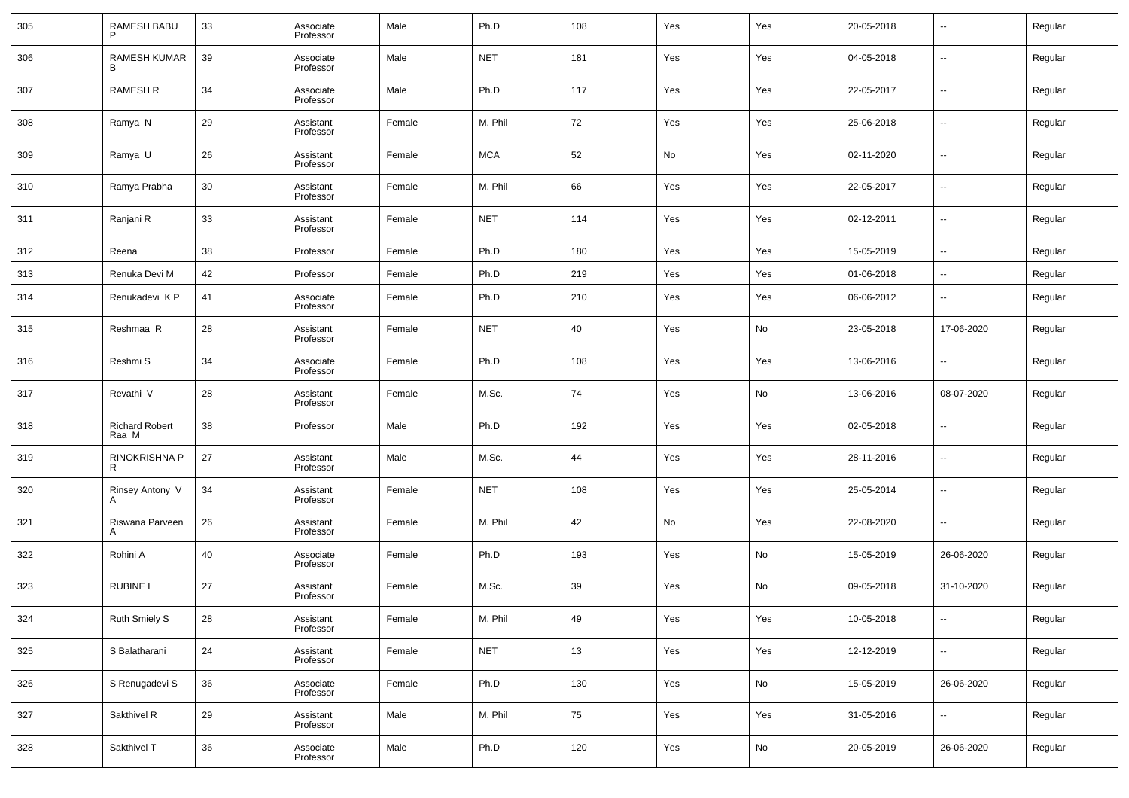| 305 | <b>RAMESH BABU</b>             | 33 | Associate<br>Professor | Male   | Ph.D       | 108 | Yes | Yes | 20-05-2018 | $\overline{\phantom{a}}$ | Regular |
|-----|--------------------------------|----|------------------------|--------|------------|-----|-----|-----|------------|--------------------------|---------|
| 306 | <b>RAMESH KUMAR</b><br>R       | 39 | Associate<br>Professor | Male   | <b>NET</b> | 181 | Yes | Yes | 04-05-2018 | $\overline{\phantom{a}}$ | Regular |
| 307 | <b>RAMESH R</b>                | 34 | Associate<br>Professor | Male   | Ph.D       | 117 | Yes | Yes | 22-05-2017 | $\overline{\phantom{a}}$ | Regular |
| 308 | Ramya N                        | 29 | Assistant<br>Professor | Female | M. Phil    | 72  | Yes | Yes | 25-06-2018 | $\overline{\phantom{a}}$ | Regular |
| 309 | Ramya U                        | 26 | Assistant<br>Professor | Female | <b>MCA</b> | 52  | No  | Yes | 02-11-2020 | $\overline{\phantom{a}}$ | Regular |
| 310 | Ramya Prabha                   | 30 | Assistant<br>Professor | Female | M. Phil    | 66  | Yes | Yes | 22-05-2017 | $\overline{\phantom{a}}$ | Regular |
| 311 | Ranjani R                      | 33 | Assistant<br>Professor | Female | <b>NET</b> | 114 | Yes | Yes | 02-12-2011 | $\overline{\phantom{a}}$ | Regular |
| 312 | Reena                          | 38 | Professor              | Female | Ph.D       | 180 | Yes | Yes | 15-05-2019 | $\overline{\phantom{a}}$ | Regular |
| 313 | Renuka Devi M                  | 42 | Professor              | Female | Ph.D       | 219 | Yes | Yes | 01-06-2018 | $\overline{\phantom{a}}$ | Regular |
| 314 | Renukadevi KP                  | 41 | Associate<br>Professor | Female | Ph.D       | 210 | Yes | Yes | 06-06-2012 | $\overline{\phantom{a}}$ | Regular |
| 315 | Reshmaa R                      | 28 | Assistant<br>Professor | Female | <b>NET</b> | 40  | Yes | No  | 23-05-2018 | 17-06-2020               | Regular |
| 316 | Reshmi S                       | 34 | Associate<br>Professor | Female | Ph.D       | 108 | Yes | Yes | 13-06-2016 | $\overline{\phantom{a}}$ | Regular |
| 317 | Revathi V                      | 28 | Assistant<br>Professor | Female | M.Sc.      | 74  | Yes | No  | 13-06-2016 | 08-07-2020               | Regular |
| 318 | <b>Richard Robert</b><br>Raa M | 38 | Professor              | Male   | Ph.D       | 192 | Yes | Yes | 02-05-2018 | $\overline{\phantom{a}}$ | Regular |
| 319 | RINOKRISHNA P<br>R             | 27 | Assistant<br>Professor | Male   | M.Sc.      | 44  | Yes | Yes | 28-11-2016 | $\overline{\phantom{a}}$ | Regular |
| 320 | Rinsey Antony V<br>A           | 34 | Assistant<br>Professor | Female | <b>NET</b> | 108 | Yes | Yes | 25-05-2014 | $\overline{\phantom{a}}$ | Regular |
| 321 | Riswana Parveen<br>A           | 26 | Assistant<br>Professor | Female | M. Phil    | 42  | No  | Yes | 22-08-2020 | $\overline{\phantom{a}}$ | Regular |
| 322 | Rohini A                       | 40 | Associate<br>Professor | Female | Ph.D       | 193 | Yes | No  | 15-05-2019 | 26-06-2020               | Regular |
| 323 | <b>RUBINE L</b>                | 27 | Assistant<br>Professor | Female | M.Sc.      | 39  | Yes | No  | 09-05-2018 | 31-10-2020               | Regular |
| 324 | <b>Ruth Smiely S</b>           | 28 | Assistant<br>Professor | Female | M. Phil    | 49  | Yes | Yes | 10-05-2018 | $\overline{\phantom{a}}$ | Regular |
| 325 | S Balatharani                  | 24 | Assistant<br>Professor | Female | <b>NET</b> | 13  | Yes | Yes | 12-12-2019 | $\overline{\phantom{a}}$ | Regular |
| 326 | S Renugadevi S                 | 36 | Associate<br>Professor | Female | Ph.D       | 130 | Yes | No  | 15-05-2019 | 26-06-2020               | Regular |
| 327 | Sakthivel R                    | 29 | Assistant<br>Professor | Male   | M. Phil    | 75  | Yes | Yes | 31-05-2016 | $\overline{\phantom{a}}$ | Regular |
| 328 | Sakthivel T                    | 36 | Associate<br>Professor | Male   | Ph.D       | 120 | Yes | No  | 20-05-2019 | 26-06-2020               | Regular |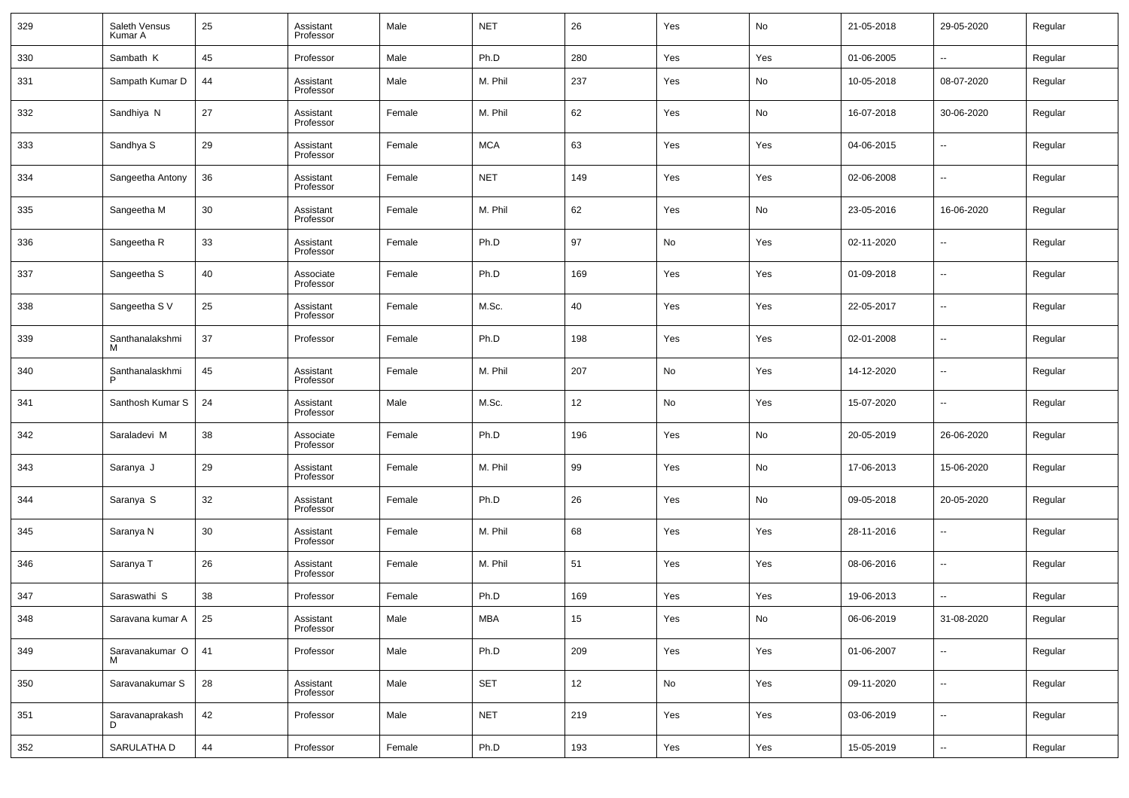| 329 | Saleth Vensus<br>Kumar A | 25 | Assistant<br>Professor | Male   | <b>NET</b> | 26  | Yes | No  | 21-05-2018 | 29-05-2020               | Regular |
|-----|--------------------------|----|------------------------|--------|------------|-----|-----|-----|------------|--------------------------|---------|
| 330 | Sambath K                | 45 | Professor              | Male   | Ph.D       | 280 | Yes | Yes | 01-06-2005 |                          | Regular |
| 331 | Sampath Kumar D          | 44 | Assistant<br>Professor | Male   | M. Phil    | 237 | Yes | No  | 10-05-2018 | 08-07-2020               | Regular |
| 332 | Sandhiya N               | 27 | Assistant<br>Professor | Female | M. Phil    | 62  | Yes | No  | 16-07-2018 | 30-06-2020               | Regular |
| 333 | Sandhya S                | 29 | Assistant<br>Professor | Female | <b>MCA</b> | 63  | Yes | Yes | 04-06-2015 | $\overline{\phantom{a}}$ | Regular |
| 334 | Sangeetha Antony         | 36 | Assistant<br>Professor | Female | <b>NET</b> | 149 | Yes | Yes | 02-06-2008 | $\overline{\phantom{a}}$ | Regular |
| 335 | Sangeetha M              | 30 | Assistant<br>Professor | Female | M. Phil    | 62  | Yes | No  | 23-05-2016 | 16-06-2020               | Regular |
| 336 | Sangeetha R              | 33 | Assistant<br>Professor | Female | Ph.D       | 97  | No  | Yes | 02-11-2020 | $\sim$                   | Regular |
| 337 | Sangeetha S              | 40 | Associate<br>Professor | Female | Ph.D       | 169 | Yes | Yes | 01-09-2018 | $\overline{\phantom{a}}$ | Regular |
| 338 | Sangeetha SV             | 25 | Assistant<br>Professor | Female | M.Sc.      | 40  | Yes | Yes | 22-05-2017 | ц,                       | Regular |
| 339 | Santhanalakshmi<br>м     | 37 | Professor              | Female | Ph.D       | 198 | Yes | Yes | 02-01-2008 | $\overline{\phantom{a}}$ | Regular |
| 340 | Santhanalaskhmi          | 45 | Assistant<br>Professor | Female | M. Phil    | 207 | No  | Yes | 14-12-2020 | $\overline{\phantom{a}}$ | Regular |
| 341 | Santhosh Kumar S         | 24 | Assistant<br>Professor | Male   | M.Sc.      | 12  | No  | Yes | 15-07-2020 | $\overline{\phantom{a}}$ | Regular |
| 342 | Saraladevi M             | 38 | Associate<br>Professor | Female | Ph.D       | 196 | Yes | No  | 20-05-2019 | 26-06-2020               | Regular |
| 343 | Saranya J                | 29 | Assistant<br>Professor | Female | M. Phil    | 99  | Yes | No  | 17-06-2013 | 15-06-2020               | Regular |
| 344 | Saranya S                | 32 | Assistant<br>Professor | Female | Ph.D       | 26  | Yes | No  | 09-05-2018 | 20-05-2020               | Regular |
| 345 | Saranya N                | 30 | Assistant<br>Professor | Female | M. Phil    | 68  | Yes | Yes | 28-11-2016 | $\overline{\phantom{a}}$ | Regular |
| 346 | Saranya T                | 26 | Assistant<br>Professor | Female | M. Phil    | 51  | Yes | Yes | 08-06-2016 | $\overline{\phantom{a}}$ | Regular |
| 347 | Saraswathi S             | 38 | Professor              | Female | Ph.D       | 169 | Yes | Yes | 19-06-2013 | $\sim$                   | Regular |
| 348 | Saravana kumar A         | 25 | Assistant<br>Professor | Male   | MBA        | 15  | Yes | No  | 06-06-2019 | 31-08-2020               | Regular |
| 349 | Saravanakumar O          | 41 | Professor              | Male   | Ph.D       | 209 | Yes | Yes | 01-06-2007 | $\overline{\phantom{a}}$ | Regular |
| 350 | Saravanakumar S          | 28 | Assistant<br>Professor | Male   | <b>SET</b> | 12  | No  | Yes | 09-11-2020 | $\ddotsc$                | Regular |
| 351 | Saravanaprakash<br>D     | 42 | Professor              | Male   | <b>NET</b> | 219 | Yes | Yes | 03-06-2019 | $\ddotsc$                | Regular |
| 352 | SARULATHA D              | 44 | Professor              | Female | Ph.D       | 193 | Yes | Yes | 15-05-2019 | $\overline{\phantom{a}}$ | Regular |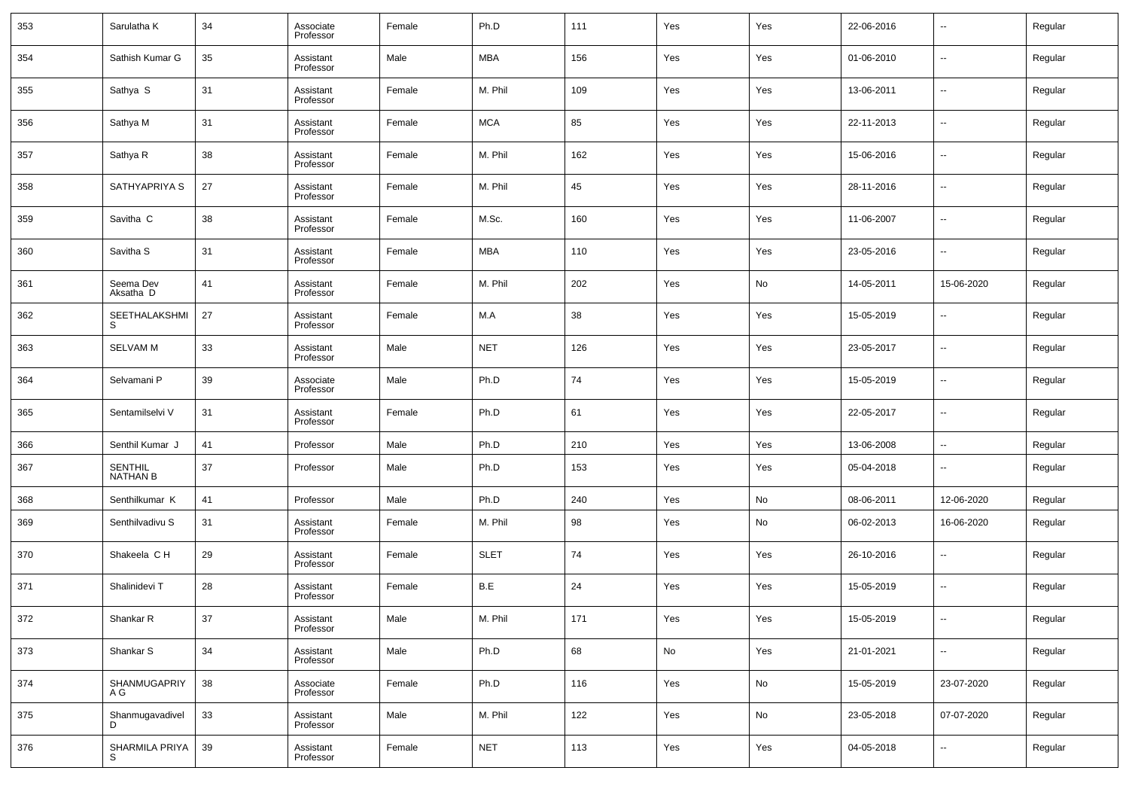| 353 | Sarulatha K                       | 34 | Associate<br>Professor | Female | Ph.D        | 111 | Yes | Yes | 22-06-2016 | $\overline{\phantom{a}}$ | Regular |
|-----|-----------------------------------|----|------------------------|--------|-------------|-----|-----|-----|------------|--------------------------|---------|
| 354 | Sathish Kumar G                   | 35 | Assistant<br>Professor | Male   | MBA         | 156 | Yes | Yes | 01-06-2010 | $\overline{\phantom{a}}$ | Regular |
| 355 | Sathya S                          | 31 | Assistant<br>Professor | Female | M. Phil     | 109 | Yes | Yes | 13-06-2011 | $\overline{\phantom{a}}$ | Regular |
| 356 | Sathya M                          | 31 | Assistant<br>Professor | Female | <b>MCA</b>  | 85  | Yes | Yes | 22-11-2013 | $\overline{\phantom{a}}$ | Regular |
| 357 | Sathya R                          | 38 | Assistant<br>Professor | Female | M. Phil     | 162 | Yes | Yes | 15-06-2016 | $\overline{\phantom{a}}$ | Regular |
| 358 | SATHYAPRIYA S                     | 27 | Assistant<br>Professor | Female | M. Phil     | 45  | Yes | Yes | 28-11-2016 | $\overline{\phantom{a}}$ | Regular |
| 359 | Savitha C                         | 38 | Assistant<br>Professor | Female | M.Sc.       | 160 | Yes | Yes | 11-06-2007 | $\overline{\phantom{a}}$ | Regular |
| 360 | Savitha S                         | 31 | Assistant<br>Professor | Female | MBA         | 110 | Yes | Yes | 23-05-2016 | $\overline{\phantom{a}}$ | Regular |
| 361 | Seema Dev<br>Aksatha D            | 41 | Assistant<br>Professor | Female | M. Phil     | 202 | Yes | No  | 14-05-2011 | 15-06-2020               | Regular |
| 362 | SEETHALAKSHMI                     | 27 | Assistant<br>Professor | Female | M.A         | 38  | Yes | Yes | 15-05-2019 | $\overline{\phantom{a}}$ | Regular |
| 363 | <b>SELVAM M</b>                   | 33 | Assistant<br>Professor | Male   | <b>NET</b>  | 126 | Yes | Yes | 23-05-2017 | $\overline{\phantom{a}}$ | Regular |
| 364 | Selvamani P                       | 39 | Associate<br>Professor | Male   | Ph.D        | 74  | Yes | Yes | 15-05-2019 | $\overline{\phantom{a}}$ | Regular |
| 365 | Sentamilselvi V                   | 31 | Assistant<br>Professor | Female | Ph.D        | 61  | Yes | Yes | 22-05-2017 | $\overline{\phantom{a}}$ | Regular |
| 366 | Senthil Kumar J                   | 41 | Professor              | Male   | Ph.D        | 210 | Yes | Yes | 13-06-2008 | $\overline{\phantom{a}}$ | Regular |
| 367 | <b>SENTHIL</b><br><b>NATHAN B</b> | 37 | Professor              | Male   | Ph.D        | 153 | Yes | Yes | 05-04-2018 | $\overline{\phantom{a}}$ | Regular |
| 368 | Senthilkumar K                    | 41 | Professor              | Male   | Ph.D        | 240 | Yes | No  | 08-06-2011 | 12-06-2020               | Regular |
| 369 | Senthilvadivu S                   | 31 | Assistant<br>Professor | Female | M. Phil     | 98  | Yes | No  | 06-02-2013 | 16-06-2020               | Regular |
| 370 | Shakeela C H                      | 29 | Assistant<br>Professor | Female | <b>SLET</b> | 74  | Yes | Yes | 26-10-2016 | $\overline{\phantom{a}}$ | Regular |
| 371 | Shalinidevi T                     | 28 | Assistant<br>Professor | Female | B.E         | 24  | Yes | Yes | 15-05-2019 | $\overline{\phantom{a}}$ | Regular |
| 372 | Shankar R                         | 37 | Assistant<br>Professor | Male   | M. Phil     | 171 | Yes | Yes | 15-05-2019 | ۰.                       | Regular |
| 373 | Shankar S                         | 34 | Assistant<br>Professor | Male   | Ph.D        | 68  | No  | Yes | 21-01-2021 | $\overline{\phantom{a}}$ | Regular |
| 374 | SHANMUGAPRIY<br>A G               | 38 | Associate<br>Professor | Female | Ph.D        | 116 | Yes | No  | 15-05-2019 | 23-07-2020               | Regular |
| 375 | Shanmugavadivel<br>D              | 33 | Assistant<br>Professor | Male   | M. Phil     | 122 | Yes | No  | 23-05-2018 | 07-07-2020               | Regular |
| 376 | SHARMILA PRIYA<br>S               | 39 | Assistant<br>Professor | Female | <b>NET</b>  | 113 | Yes | Yes | 04-05-2018 | ۰.                       | Regular |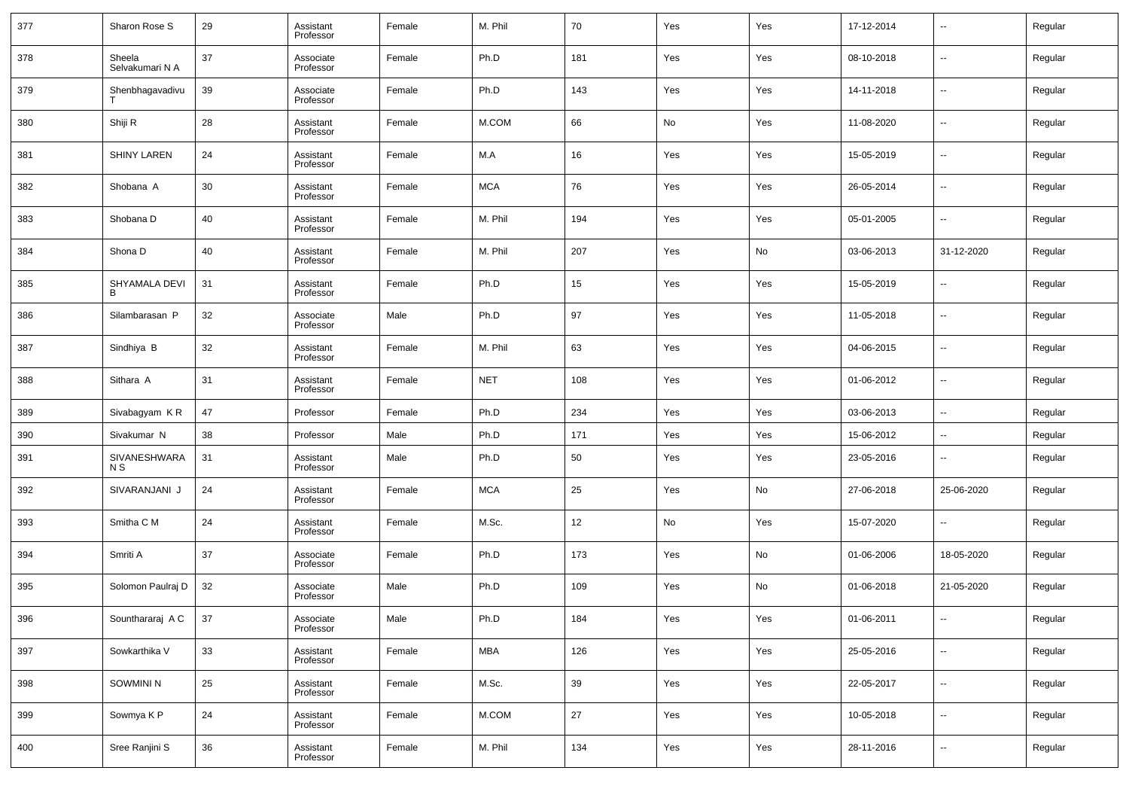| 377 | Sharon Rose S             | 29 | Assistant<br>Professor | Female | M. Phil    | 70  | Yes | Yes | 17-12-2014 | --                       | Regular |
|-----|---------------------------|----|------------------------|--------|------------|-----|-----|-----|------------|--------------------------|---------|
| 378 | Sheela<br>Selvakumari N A | 37 | Associate<br>Professor | Female | Ph.D       | 181 | Yes | Yes | 08-10-2018 | $\overline{\phantom{a}}$ | Regular |
| 379 | Shenbhagavadivu           | 39 | Associate<br>Professor | Female | Ph.D       | 143 | Yes | Yes | 14-11-2018 | $\overline{\phantom{a}}$ | Regular |
| 380 | Shiji R                   | 28 | Assistant<br>Professor | Female | M.COM      | 66  | No  | Yes | 11-08-2020 | --                       | Regular |
| 381 | <b>SHINY LAREN</b>        | 24 | Assistant<br>Professor | Female | M.A        | 16  | Yes | Yes | 15-05-2019 | $\overline{\phantom{a}}$ | Regular |
| 382 | Shobana A                 | 30 | Assistant<br>Professor | Female | <b>MCA</b> | 76  | Yes | Yes | 26-05-2014 | --                       | Regular |
| 383 | Shobana D                 | 40 | Assistant<br>Professor | Female | M. Phil    | 194 | Yes | Yes | 05-01-2005 | --                       | Regular |
| 384 | Shona D                   | 40 | Assistant<br>Professor | Female | M. Phil    | 207 | Yes | No  | 03-06-2013 | 31-12-2020               | Regular |
| 385 | SHYAMALA DEVI<br>R        | 31 | Assistant<br>Professor | Female | Ph.D       | 15  | Yes | Yes | 15-05-2019 | --                       | Regular |
| 386 | Silambarasan P            | 32 | Associate<br>Professor | Male   | Ph.D       | 97  | Yes | Yes | 11-05-2018 | $\overline{\phantom{a}}$ | Regular |
| 387 | Sindhiya B                | 32 | Assistant<br>Professor | Female | M. Phil    | 63  | Yes | Yes | 04-06-2015 | $\overline{\phantom{a}}$ | Regular |
| 388 | Sithara A                 | 31 | Assistant<br>Professor | Female | <b>NET</b> | 108 | Yes | Yes | 01-06-2012 | $\overline{\phantom{a}}$ | Regular |
| 389 | Sivabagyam KR             | 47 | Professor              | Female | Ph.D       | 234 | Yes | Yes | 03-06-2013 | $\overline{\phantom{a}}$ | Regular |
| 390 | Sivakumar N               | 38 | Professor              | Male   | Ph.D       | 171 | Yes | Yes | 15-06-2012 | $\overline{\phantom{a}}$ | Regular |
| 391 | SIVANESHWARA<br>N S       | 31 | Assistant<br>Professor | Male   | Ph.D       | 50  | Yes | Yes | 23-05-2016 | $\overline{\phantom{a}}$ | Regular |
| 392 | SIVARANJANI J             | 24 | Assistant<br>Professor | Female | <b>MCA</b> | 25  | Yes | No  | 27-06-2018 | 25-06-2020               | Regular |
| 393 | Smitha C M                | 24 | Assistant<br>Professor | Female | M.Sc.      | 12  | No  | Yes | 15-07-2020 | $\overline{\phantom{a}}$ | Regular |
| 394 | Smriti A                  | 37 | Associate<br>Professor | Female | Ph.D       | 173 | Yes | No  | 01-06-2006 | 18-05-2020               | Regular |
| 395 | Solomon Paulraj D         | 32 | Associate<br>Professor | Male   | Ph.D       | 109 | Yes | No  | 01-06-2018 | 21-05-2020               | Regular |
| 396 | Sounthararaj A C          | 37 | Associate<br>Professor | Male   | Ph.D       | 184 | Yes | Yes | 01-06-2011 | $\overline{\phantom{a}}$ | Regular |
| 397 | Sowkarthika V             | 33 | Assistant<br>Professor | Female | <b>MBA</b> | 126 | Yes | Yes | 25-05-2016 | $\overline{\phantom{a}}$ | Regular |
| 398 | SOWMINI N                 | 25 | Assistant<br>Professor | Female | M.Sc.      | 39  | Yes | Yes | 22-05-2017 | $\overline{\phantom{a}}$ | Regular |
| 399 | Sowmya K P                | 24 | Assistant<br>Professor | Female | M.COM      | 27  | Yes | Yes | 10-05-2018 | $\overline{\phantom{a}}$ | Regular |
| 400 | Sree Ranjini S            | 36 | Assistant<br>Professor | Female | M. Phil    | 134 | Yes | Yes | 28-11-2016 | $\overline{\phantom{a}}$ | Regular |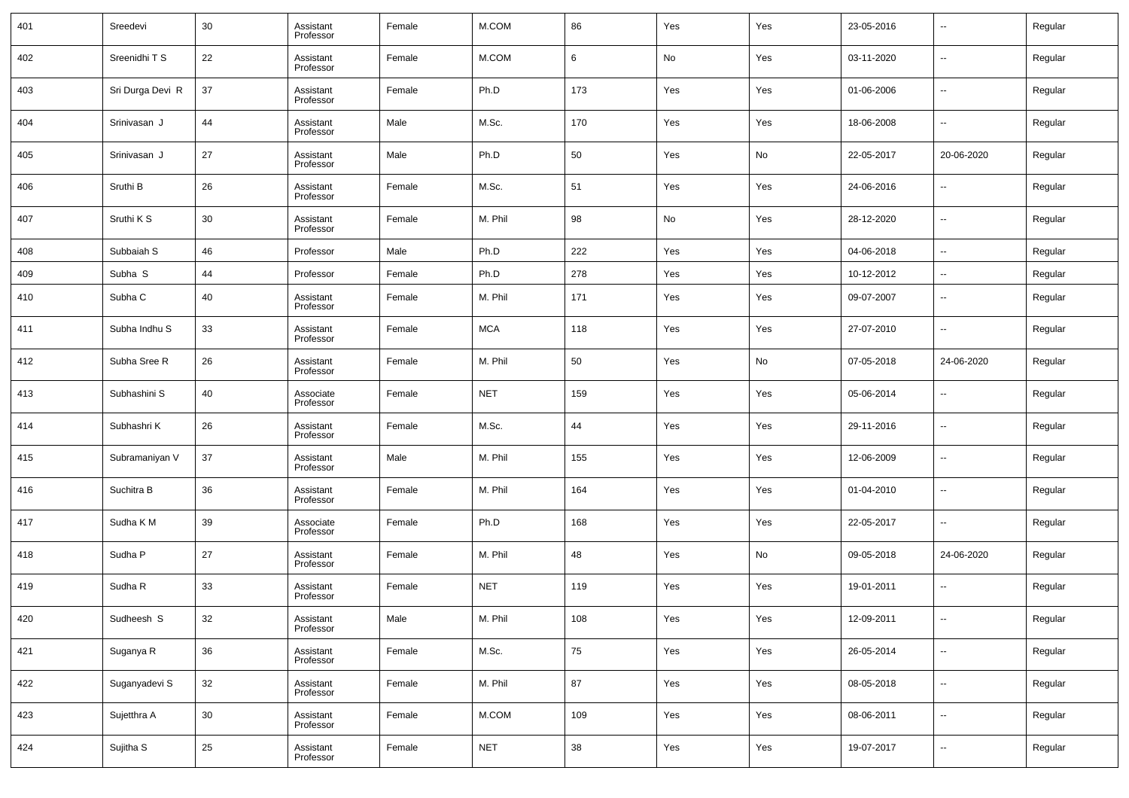| 401 | Sreedevi         | 30 | Assistant<br>Professor | Female | M.COM      | 86     | Yes | Yes | 23-05-2016 | --                       | Regular |
|-----|------------------|----|------------------------|--------|------------|--------|-----|-----|------------|--------------------------|---------|
| 402 | Sreenidhi T S    | 22 | Assistant<br>Professor | Female | M.COM      | 6      | No  | Yes | 03-11-2020 | $\overline{\phantom{a}}$ | Regular |
| 403 | Sri Durga Devi R | 37 | Assistant<br>Professor | Female | Ph.D       | 173    | Yes | Yes | 01-06-2006 | $\overline{\phantom{a}}$ | Regular |
| 404 | Srinivasan J     | 44 | Assistant<br>Professor | Male   | M.Sc.      | 170    | Yes | Yes | 18-06-2008 | $\overline{\phantom{a}}$ | Regular |
| 405 | Srinivasan J     | 27 | Assistant<br>Professor | Male   | Ph.D       | 50     | Yes | No  | 22-05-2017 | 20-06-2020               | Regular |
| 406 | Sruthi B         | 26 | Assistant<br>Professor | Female | M.Sc.      | 51     | Yes | Yes | 24-06-2016 | --                       | Regular |
| 407 | Sruthi K S       | 30 | Assistant<br>Professor | Female | M. Phil    | 98     | No  | Yes | 28-12-2020 | $\overline{\phantom{a}}$ | Regular |
| 408 | Subbaiah S       | 46 | Professor              | Male   | Ph.D       | 222    | Yes | Yes | 04-06-2018 | $\overline{\phantom{a}}$ | Regular |
| 409 | Subha S          | 44 | Professor              | Female | Ph.D       | 278    | Yes | Yes | 10-12-2012 | $\overline{\phantom{a}}$ | Regular |
| 410 | Subha C          | 40 | Assistant<br>Professor | Female | M. Phil    | 171    | Yes | Yes | 09-07-2007 | $\sim$                   | Regular |
| 411 | Subha Indhu S    | 33 | Assistant<br>Professor | Female | <b>MCA</b> | 118    | Yes | Yes | 27-07-2010 | $\overline{\phantom{a}}$ | Regular |
| 412 | Subha Sree R     | 26 | Assistant<br>Professor | Female | M. Phil    | 50     | Yes | No  | 07-05-2018 | 24-06-2020               | Regular |
| 413 | Subhashini S     | 40 | Associate<br>Professor | Female | <b>NET</b> | 159    | Yes | Yes | 05-06-2014 | $\sim$                   | Regular |
| 414 | Subhashri K      | 26 | Assistant<br>Professor | Female | M.Sc.      | 44     | Yes | Yes | 29-11-2016 | $\overline{\phantom{a}}$ | Regular |
| 415 | Subramaniyan V   | 37 | Assistant<br>Professor | Male   | M. Phil    | 155    | Yes | Yes | 12-06-2009 | $\overline{\phantom{a}}$ | Regular |
| 416 | Suchitra B       | 36 | Assistant<br>Professor | Female | M. Phil    | 164    | Yes | Yes | 01-04-2010 | $\overline{\phantom{a}}$ | Regular |
| 417 | Sudha K M        | 39 | Associate<br>Professor | Female | Ph.D       | 168    | Yes | Yes | 22-05-2017 | $\overline{\phantom{a}}$ | Regular |
| 418 | Sudha P          | 27 | Assistant<br>Professor | Female | M. Phil    | 48     | Yes | No  | 09-05-2018 | 24-06-2020               | Regular |
| 419 | Sudha R          | 33 | Assistant<br>Professor | Female | <b>NET</b> | 119    | Yes | Yes | 19-01-2011 | $\overline{\phantom{a}}$ | Regular |
| 420 | Sudheesh S       | 32 | Assistant<br>Professor | Male   | M. Phil    | 108    | Yes | Yes | 12-09-2011 | $\overline{\phantom{a}}$ | Regular |
| 421 | Suganya R        | 36 | Assistant<br>Professor | Female | M.Sc.      | 75     | Yes | Yes | 26-05-2014 | $\overline{\phantom{a}}$ | Regular |
| 422 | Suganyadevi S    | 32 | Assistant<br>Professor | Female | M. Phil    | 87     | Yes | Yes | 08-05-2018 | $\overline{\phantom{a}}$ | Regular |
| 423 | Sujetthra A      | 30 | Assistant<br>Professor | Female | M.COM      | 109    | Yes | Yes | 08-06-2011 | $\overline{\phantom{a}}$ | Regular |
| 424 | Sujitha S        | 25 | Assistant<br>Professor | Female | <b>NET</b> | $38\,$ | Yes | Yes | 19-07-2017 | $\overline{\phantom{a}}$ | Regular |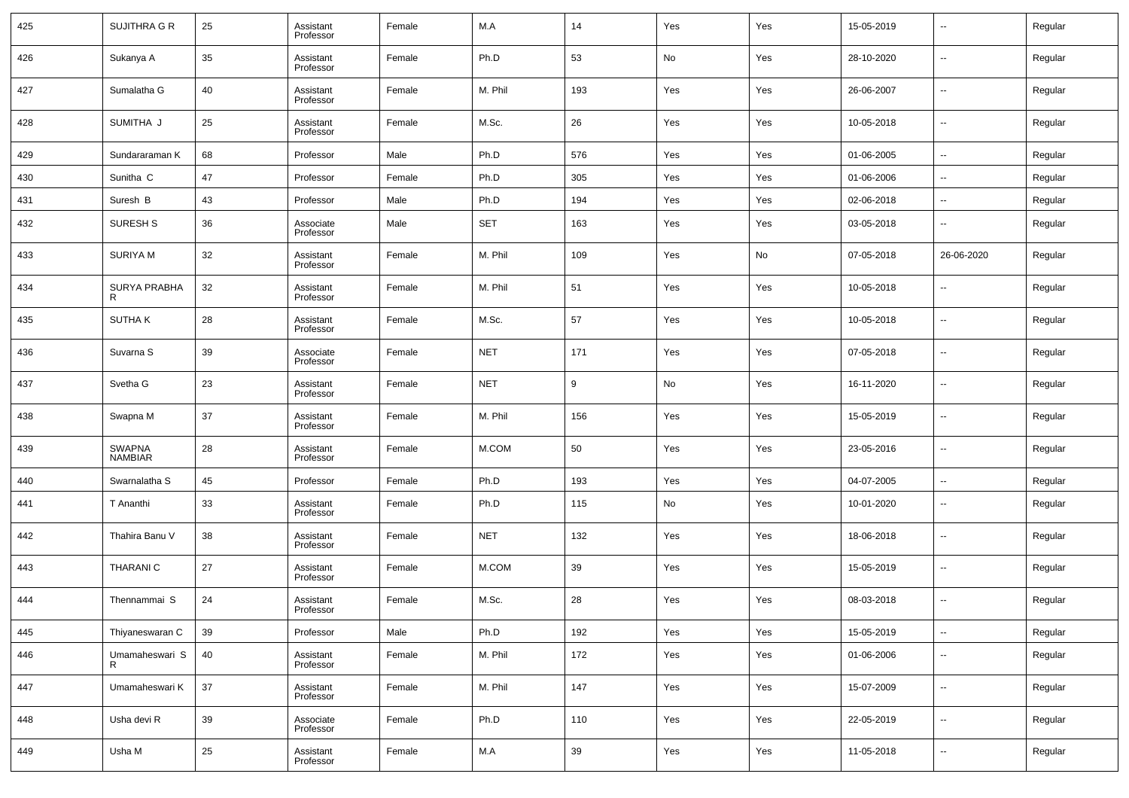| 425 | SUJITHRA G R                    | 25 | Assistant<br>Professor | Female | M.A        | 14     | Yes | Yes | 15-05-2019 | $\overline{\phantom{a}}$ | Regular |
|-----|---------------------------------|----|------------------------|--------|------------|--------|-----|-----|------------|--------------------------|---------|
| 426 | Sukanya A                       | 35 | Assistant<br>Professor | Female | Ph.D       | 53     | No  | Yes | 28-10-2020 | $\overline{\phantom{a}}$ | Regular |
| 427 | Sumalatha G                     | 40 | Assistant<br>Professor | Female | M. Phil    | 193    | Yes | Yes | 26-06-2007 | $\overline{\phantom{a}}$ | Regular |
| 428 | SUMITHA J                       | 25 | Assistant<br>Professor | Female | M.Sc.      | 26     | Yes | Yes | 10-05-2018 | $\overline{\phantom{a}}$ | Regular |
| 429 | Sundararaman K                  | 68 | Professor              | Male   | Ph.D       | 576    | Yes | Yes | 01-06-2005 | $\sim$                   | Regular |
| 430 | Sunitha <sub>C</sub>            | 47 | Professor              | Female | Ph.D       | 305    | Yes | Yes | 01-06-2006 | $\overline{\phantom{a}}$ | Regular |
| 431 | Suresh B                        | 43 | Professor              | Male   | Ph.D       | 194    | Yes | Yes | 02-06-2018 | $\overline{\phantom{a}}$ | Regular |
| 432 | SURESH <sub>S</sub>             | 36 | Associate<br>Professor | Male   | <b>SET</b> | 163    | Yes | Yes | 03-05-2018 | $\overline{\phantom{a}}$ | Regular |
| 433 | <b>SURIYAM</b>                  | 32 | Assistant<br>Professor | Female | M. Phil    | 109    | Yes | No  | 07-05-2018 | 26-06-2020               | Regular |
| 434 | <b>SURYA PRABHA</b><br>R        | 32 | Assistant<br>Professor | Female | M. Phil    | 51     | Yes | Yes | 10-05-2018 | $\sim$                   | Regular |
| 435 | <b>SUTHAK</b>                   | 28 | Assistant<br>Professor | Female | M.Sc.      | 57     | Yes | Yes | 10-05-2018 | $\overline{\phantom{a}}$ | Regular |
| 436 | Suvarna S                       | 39 | Associate<br>Professor | Female | <b>NET</b> | 171    | Yes | Yes | 07-05-2018 | $\overline{\phantom{a}}$ | Regular |
| 437 | Svetha G                        | 23 | Assistant<br>Professor | Female | <b>NET</b> | 9      | No  | Yes | 16-11-2020 | $\sim$                   | Regular |
| 438 | Swapna M                        | 37 | Assistant<br>Professor | Female | M. Phil    | 156    | Yes | Yes | 15-05-2019 | $\overline{\phantom{a}}$ | Regular |
| 439 | <b>SWAPNA</b><br><b>NAMBIAR</b> | 28 | Assistant<br>Professor | Female | M.COM      | 50     | Yes | Yes | 23-05-2016 | $\overline{\phantom{a}}$ | Regular |
| 440 | Swarnalatha S                   | 45 | Professor              | Female | Ph.D       | 193    | Yes | Yes | 04-07-2005 | $\overline{\phantom{a}}$ | Regular |
| 441 | T Ananthi                       | 33 | Assistant<br>Professor | Female | Ph.D       | 115    | No  | Yes | 10-01-2020 | $\overline{\phantom{a}}$ | Regular |
| 442 | Thahira Banu V                  | 38 | Assistant<br>Professor | Female | <b>NET</b> | 132    | Yes | Yes | 18-06-2018 | $\overline{\phantom{a}}$ | Regular |
| 443 | THARANI C                       | 27 | Assistant<br>Professor | Female | M.COM      | 39     | Yes | Yes | 15-05-2019 | $\overline{\phantom{a}}$ | Regular |
| 444 | Thennammai S                    | 24 | Assistant<br>Professor | Female | M.Sc.      | 28     | Yes | Yes | 08-03-2018 | $\overline{\phantom{a}}$ | Regular |
| 445 | Thiyaneswaran C                 | 39 | Professor              | Male   | Ph.D       | 192    | Yes | Yes | 15-05-2019 | ۰.                       | Regular |
| 446 | Umamaheswari S<br>R             | 40 | Assistant<br>Professor | Female | M. Phil    | 172    | Yes | Yes | 01-06-2006 | ۰.                       | Regular |
| 447 | Umamaheswari K                  | 37 | Assistant<br>Professor | Female | M. Phil    | 147    | Yes | Yes | 15-07-2009 | ۰.                       | Regular |
| 448 | Usha devi R                     | 39 | Associate<br>Professor | Female | Ph.D       | 110    | Yes | Yes | 22-05-2019 | $\overline{\phantom{a}}$ | Regular |
| 449 | Usha M                          | 25 | Assistant<br>Professor | Female | M.A        | $39\,$ | Yes | Yes | 11-05-2018 | ۰.                       | Regular |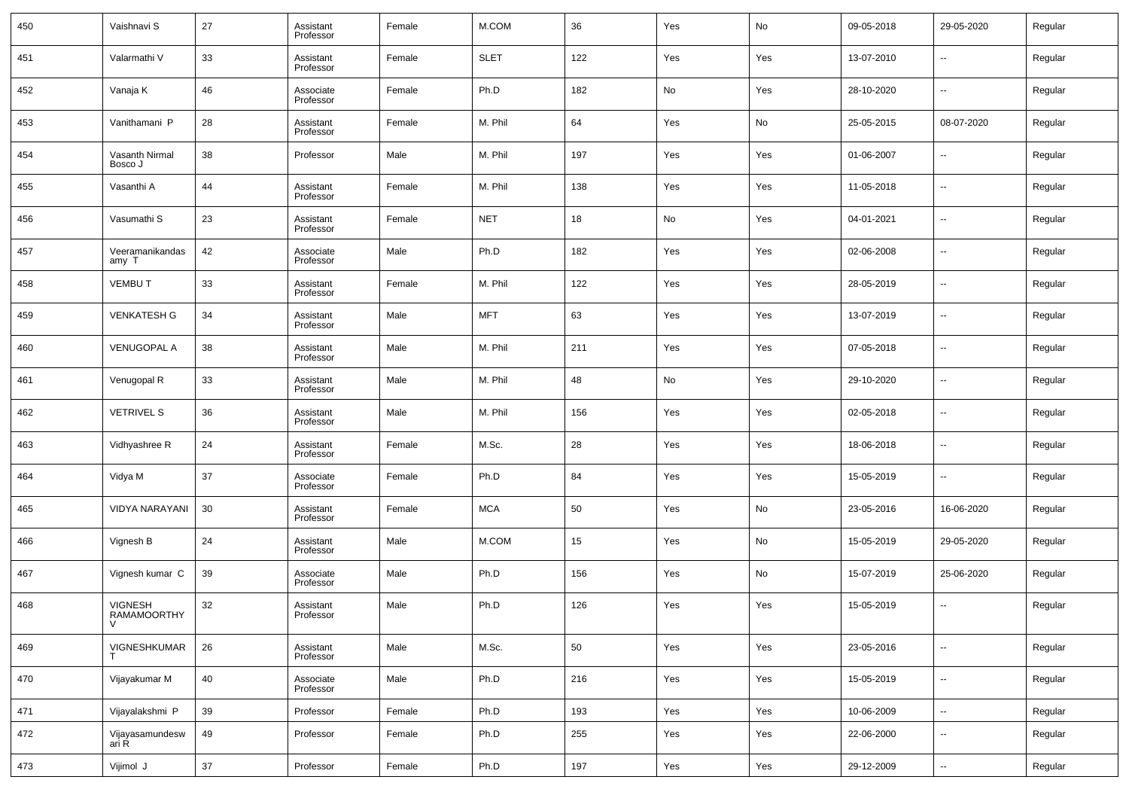| 450 | Vaishnavi S                        | 27 | Assistant<br>Professor | Female | M.COM       | 36  | Yes | No  | 09-05-2018 | 29-05-2020               | Regular |
|-----|------------------------------------|----|------------------------|--------|-------------|-----|-----|-----|------------|--------------------------|---------|
| 451 | Valarmathi V                       | 33 | Assistant<br>Professor | Female | <b>SLET</b> | 122 | Yes | Yes | 13-07-2010 | $\overline{\phantom{a}}$ | Regular |
| 452 | Vanaja K                           | 46 | Associate<br>Professor | Female | Ph.D        | 182 | No  | Yes | 28-10-2020 | $\overline{\phantom{a}}$ | Regular |
| 453 | Vanithamani P                      | 28 | Assistant<br>Professor | Female | M. Phil     | 64  | Yes | No  | 25-05-2015 | 08-07-2020               | Regular |
| 454 | Vasanth Nirmal<br>Bosco J          | 38 | Professor              | Male   | M. Phil     | 197 | Yes | Yes | 01-06-2007 | $\overline{\phantom{a}}$ | Regular |
| 455 | Vasanthi A                         | 44 | Assistant<br>Professor | Female | M. Phil     | 138 | Yes | Yes | 11-05-2018 | $\overline{\phantom{a}}$ | Regular |
| 456 | Vasumathi S                        | 23 | Assistant<br>Professor | Female | <b>NET</b>  | 18  | No  | Yes | 04-01-2021 | $\overline{\phantom{a}}$ | Regular |
| 457 | Veeramanikandas<br>amy T           | 42 | Associate<br>Professor | Male   | Ph.D        | 182 | Yes | Yes | 02-06-2008 | $\overline{\phantom{a}}$ | Regular |
| 458 | <b>VEMBUT</b>                      | 33 | Assistant<br>Professor | Female | M. Phil     | 122 | Yes | Yes | 28-05-2019 | $\overline{\phantom{a}}$ | Regular |
| 459 | <b>VENKATESH G</b>                 | 34 | Assistant<br>Professor | Male   | <b>MFT</b>  | 63  | Yes | Yes | 13-07-2019 | $\sim$                   | Regular |
| 460 | <b>VENUGOPAL A</b>                 | 38 | Assistant<br>Professor | Male   | M. Phil     | 211 | Yes | Yes | 07-05-2018 | $\overline{\phantom{a}}$ | Regular |
| 461 | Venugopal R                        | 33 | Assistant<br>Professor | Male   | M. Phil     | 48  | No  | Yes | 29-10-2020 | $\overline{\phantom{a}}$ | Regular |
| 462 | <b>VETRIVEL S</b>                  | 36 | Assistant<br>Professor | Male   | M. Phil     | 156 | Yes | Yes | 02-05-2018 | $\sim$                   | Regular |
| 463 | Vidhyashree R                      | 24 | Assistant<br>Professor | Female | M.Sc.       | 28  | Yes | Yes | 18-06-2018 | $\overline{\phantom{a}}$ | Regular |
| 464 | Vidya M                            | 37 | Associate<br>Professor | Female | Ph.D        | 84  | Yes | Yes | 15-05-2019 | $\overline{\phantom{a}}$ | Regular |
| 465 | <b>VIDYA NARAYANI</b>              | 30 | Assistant<br>Professor | Female | <b>MCA</b>  | 50  | Yes | No  | 23-05-2016 | 16-06-2020               | Regular |
| 466 | Vignesh B                          | 24 | Assistant<br>Professor | Male   | M.COM       | 15  | Yes | No  | 15-05-2019 | 29-05-2020               | Regular |
| 467 | Vignesh kumar C                    | 39 | Associate<br>Professor | Male   | Ph.D        | 156 | Yes | No  | 15-07-2019 | 25-06-2020               | Regular |
| 468 | <b>VIGNESH</b><br>RAMAMOORTHY<br>V | 32 | Assistant<br>Professor | Male   | Ph.D        | 126 | Yes | Yes | 15-05-2019 | $\sim$                   | Regular |
| 469 | VIGNESHKUMAR                       | 26 | Assistant<br>Professor | Male   | M.Sc.       | 50  | Yes | Yes | 23-05-2016 | $\overline{\phantom{a}}$ | Regular |
| 470 | Vijayakumar M                      | 40 | Associate<br>Professor | Male   | Ph.D        | 216 | Yes | Yes | 15-05-2019 | ۰.                       | Regular |
| 471 | Vijayalakshmi P                    | 39 | Professor              | Female | Ph.D        | 193 | Yes | Yes | 10-06-2009 | ۰.                       | Regular |
| 472 | Vijayasamundesw<br>ari Ŕ           | 49 | Professor              | Female | Ph.D        | 255 | Yes | Yes | 22-06-2000 | $\overline{\phantom{a}}$ | Regular |
| 473 | Vijimol J                          | 37 | Professor              | Female | Ph.D        | 197 | Yes | Yes | 29-12-2009 | $\overline{\phantom{a}}$ | Regular |